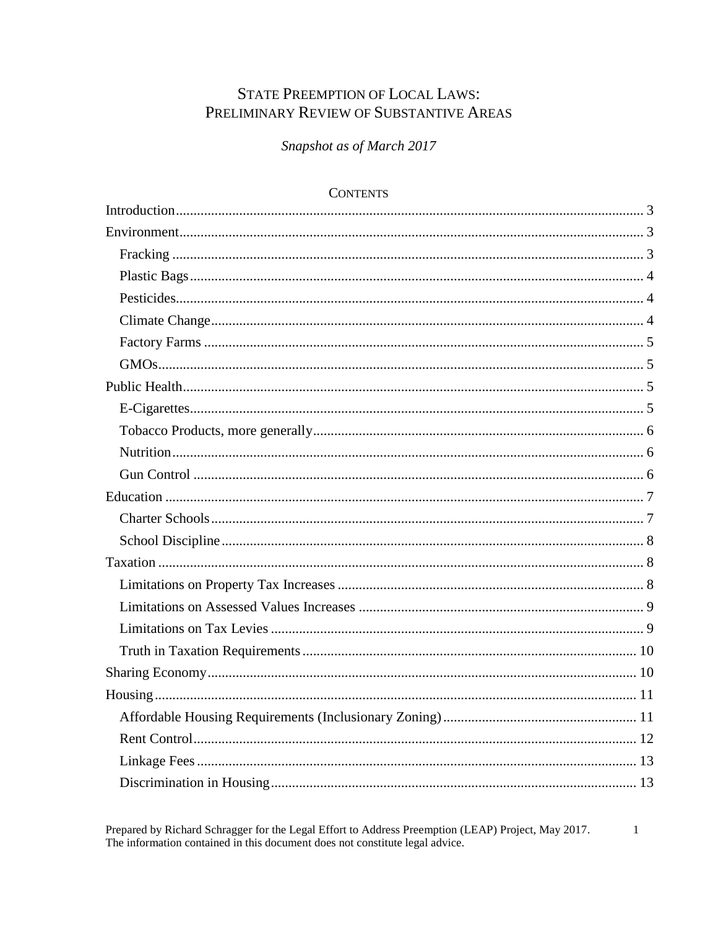# STATE PREEMPTION OF LOCAL LAWS: PRELIMINARY REVIEW OF SUBSTANTIVE AREAS

Snapshot as of March 2017

| <b>CUNTENTS</b> |  |
|-----------------|--|
|                 |  |
|                 |  |
|                 |  |
|                 |  |
|                 |  |
|                 |  |
|                 |  |
|                 |  |
|                 |  |
|                 |  |
|                 |  |
|                 |  |
|                 |  |
|                 |  |
|                 |  |
|                 |  |
|                 |  |
|                 |  |
|                 |  |
|                 |  |
|                 |  |
|                 |  |
|                 |  |
|                 |  |
|                 |  |
|                 |  |
|                 |  |

 $CONTINTE$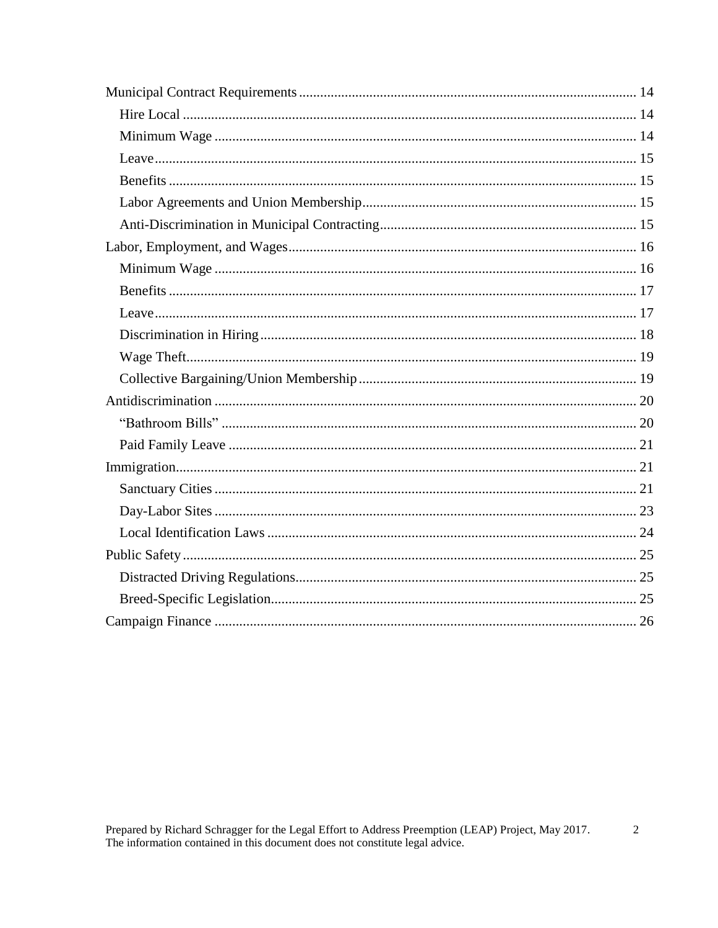<span id="page-1-0"></span> $\sqrt{2}$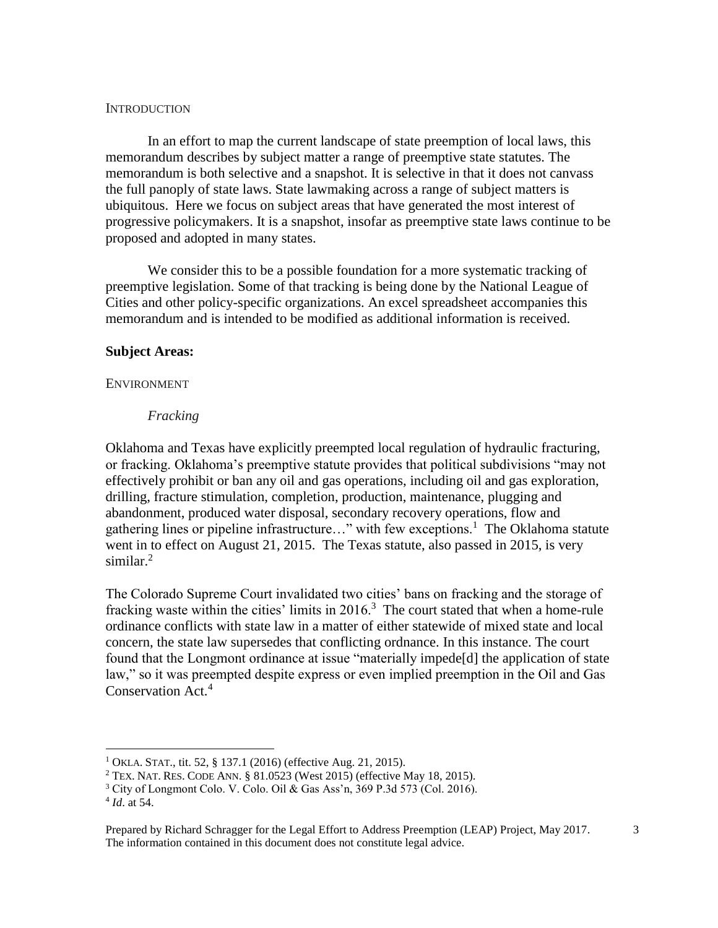#### **INTRODUCTION**

In an effort to map the current landscape of state preemption of local laws, this memorandum describes by subject matter a range of preemptive state statutes. The memorandum is both selective and a snapshot. It is selective in that it does not canvass the full panoply of state laws. State lawmaking across a range of subject matters is ubiquitous. Here we focus on subject areas that have generated the most interest of progressive policymakers. It is a snapshot, insofar as preemptive state laws continue to be proposed and adopted in many states.

We consider this to be a possible foundation for a more systematic tracking of preemptive legislation. Some of that tracking is being done by the National League of Cities and other policy-specific organizations. An excel spreadsheet accompanies this memorandum and is intended to be modified as additional information is received.

#### **Subject Areas:**

#### <span id="page-2-1"></span><span id="page-2-0"></span>ENVIRONMENT

#### *Fracking*

Oklahoma and Texas have explicitly preempted local regulation of hydraulic fracturing, or fracking. Oklahoma's preemptive statute provides that political subdivisions "may not effectively prohibit or ban any oil and gas operations, including oil and gas exploration, drilling, fracture stimulation, completion, production, maintenance, plugging and abandonment, produced water disposal, secondary recovery operations, flow and gathering lines or pipeline infrastructure..." with few exceptions.<sup>1</sup> The Oklahoma statute went in to effect on August 21, 2015. The Texas statute, also passed in 2015, is very similar.<sup>2</sup>

The Colorado Supreme Court invalidated two cities' bans on fracking and the storage of fracking waste within the cities' limits in  $2016$ <sup>3</sup>. The court stated that when a home-rule ordinance conflicts with state law in a matter of either statewide of mixed state and local concern, the state law supersedes that conflicting ordnance. In this instance. The court found that the Longmont ordinance at issue "materially impede[d] the application of state law," so it was preempted despite express or even implied preemption in the Oil and Gas Conservation Act.<sup>4</sup>

<sup>1</sup> OKLA. STAT., tit. 52, § 137.1 (2016) (effective Aug. 21, 2015).

<sup>&</sup>lt;sup>2</sup> TEX. NAT. RES. CODE ANN. § 81.0523 (West 2015) (effective May 18, 2015).

<sup>3</sup> City of Longmont Colo. V. Colo. Oil & Gas Ass'n, 369 P.3d 573 (Col. 2016).

<sup>4</sup> *Id*. at 54.

Prepared by Richard Schragger for the Legal Effort to Address Preemption (LEAP) Project, May 2017. The information contained in this document does not constitute legal advice.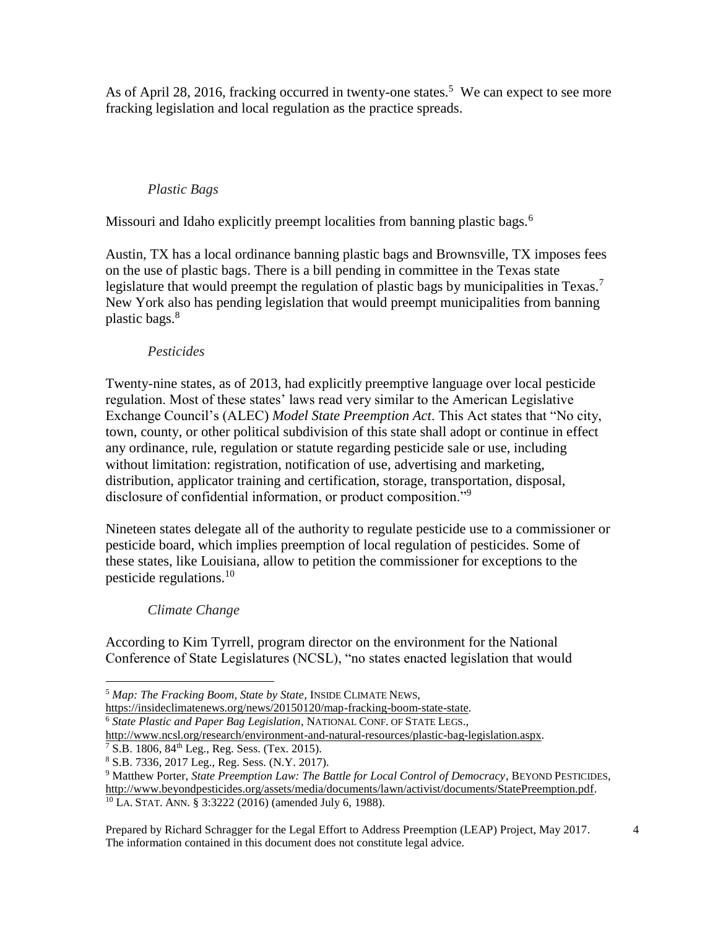<span id="page-3-0"></span>As of April 28, 2016, fracking occurred in twenty-one states.<sup>5</sup> We can expect to see more fracking legislation and local regulation as the practice spreads.

# *Plastic Bags*

Missouri and Idaho explicitly preempt localities from banning plastic bags.<sup>6</sup>

Austin, TX has a local ordinance banning plastic bags and Brownsville, TX imposes fees on the use of plastic bags. There is a bill pending in committee in the Texas state legislature that would preempt the regulation of plastic bags by municipalities in Texas.<sup>7</sup> New York also has pending legislation that would preempt municipalities from banning plastic bags.<sup>8</sup>

# *Pesticides*

<span id="page-3-1"></span>Twenty-nine states, as of 2013, had explicitly preemptive language over local pesticide regulation. Most of these states' laws read very similar to the American Legislative Exchange Council's (ALEC) *Model State Preemption Act*. This Act states that "No city, town, county, or other political subdivision of this state shall adopt or continue in effect any ordinance, rule, regulation or statute regarding pesticide sale or use, including without limitation: registration, notification of use, advertising and marketing, distribution, applicator training and certification, storage, transportation, disposal, disclosure of confidential information, or product composition."<sup>9</sup>

Nineteen states delegate all of the authority to regulate pesticide use to a commissioner or pesticide board, which implies preemption of local regulation of pesticides. Some of these states, like Louisiana, allow to petition the commissioner for exceptions to the pesticide regulations.<sup>10</sup>

# *Climate Change*

<span id="page-3-2"></span>According to Kim Tyrrell, program director on the environment for the National Conference of State Legislatures (NCSL), "no states enacted legislation that would

[https://insideclimatenews.org/news/20150120/map-fracking-boom-state-state.](https://insideclimatenews.org/news/20150120/map-fracking-boom-state-state)

<sup>6</sup> *State Plastic and Paper Bag Legislation*, NATIONAL CONF. OF STATE LEGS.,

[http://www.ncsl.org/research/environment-and-natural-resources/plastic-bag-legislation.aspx.](http://www.ncsl.org/research/environment-and-natural-resources/plastic-bag-legislation.aspx)

 $\overline{a}$ <sup>5</sup> *Map: The Fracking Boom, State by State*, INSIDE CLIMATE NEWS,

 $7 S.B. 1806, 84<sup>th</sup> Leg., Reg. Sess. (Text. 2015).$ 

<sup>8</sup> S.B. 7336, 2017 Leg., Reg. Sess. (N.Y. 2017).

<sup>9</sup> Matthew Porter, *State Preemption Law: The Battle for Local Control of Democracy*, BEYOND PESTICIDES, [http://www.beyondpesticides.org/assets/media/documents/lawn/activist/documents/StatePreemption.pdf.](http://www.beyondpesticides.org/assets/media/documents/lawn/activist/documents/StatePreemption.pdf)

<sup>10</sup> LA. STAT. ANN. § 3:3222 (2016) (amended July 6, 1988).

Prepared by Richard Schragger for the Legal Effort to Address Preemption (LEAP) Project, May 2017. The information contained in this document does not constitute legal advice.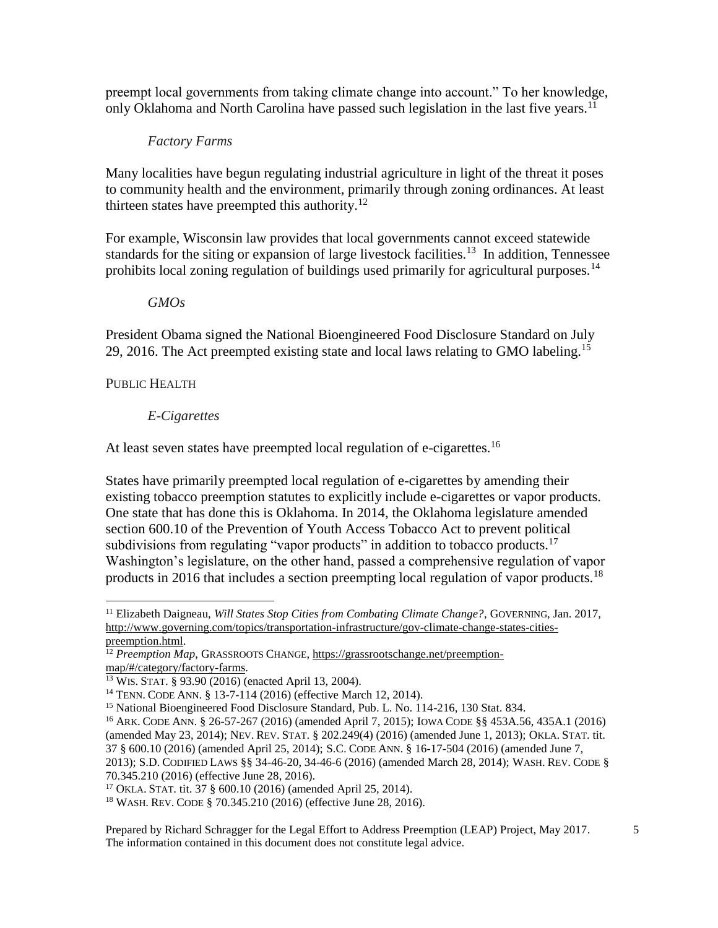preempt local governments from taking climate change into account." To her knowledge, only Oklahoma and North Carolina have passed such legislation in the last five years.<sup>11</sup>

# *Factory Farms*

<span id="page-4-0"></span>Many localities have begun regulating industrial agriculture in light of the threat it poses to community health and the environment, primarily through zoning ordinances. At least thirteen states have preempted this authority.<sup>12</sup>

For example, Wisconsin law provides that local governments cannot exceed statewide standards for the siting or expansion of large livestock facilities.<sup>13</sup> In addition, Tennessee prohibits local zoning regulation of buildings used primarily for agricultural purposes.<sup>14</sup>

## *GMOs*

<span id="page-4-1"></span>President Obama signed the National Bioengineered Food Disclosure Standard on July 29, 2016. The Act preempted existing state and local laws relating to GMO labeling.<sup>15</sup>

<span id="page-4-3"></span><span id="page-4-2"></span>PUBLIC HEALTH

# *E-Cigarettes*

At least seven states have preempted local regulation of e-cigarettes.<sup>16</sup>

States have primarily preempted local regulation of e-cigarettes by amending their existing tobacco preemption statutes to explicitly include e-cigarettes or vapor products. One state that has done this is Oklahoma. In 2014, the Oklahoma legislature amended section 600.10 of the Prevention of Youth Access Tobacco Act to prevent political subdivisions from regulating "vapor products" in addition to tobacco products.<sup>17</sup> Washington's legislature, on the other hand, passed a comprehensive regulation of vapor products in 2016 that includes a section preempting local regulation of vapor products.<sup>18</sup>

<sup>16</sup> ARK. CODE ANN. § 26-57-267 (2016) (amended April 7, 2015); IOWA CODE §§ 453A.56, 435A.1 (2016) (amended May 23, 2014); NEV. REV. STAT. § 202.249(4) (2016) (amended June 1, 2013); OKLA. STAT. tit. 37 § 600.10 (2016) (amended April 25, 2014); S.C. CODE ANN. § 16-17-504 (2016) (amended June 7, 2013); S.D. CODIFIED LAWS §§ 34-46-20, 34-46-6 (2016) (amended March 28, 2014); WASH. REV. CODE § 70.345.210 (2016) (effective June 28, 2016).

 $\overline{a}$ <sup>11</sup> Elizabeth Daigneau, *Will States Stop Cities from Combating Climate Change?*, GOVERNING, Jan. 2017, [http://www.governing.com/topics/transportation-infrastructure/gov-climate-change-states-cities](http://www.governing.com/topics/transportation-infrastructure/gov-climate-change-states-cities-preemption.html)[preemption.html.](http://www.governing.com/topics/transportation-infrastructure/gov-climate-change-states-cities-preemption.html) 

<sup>&</sup>lt;sup>12</sup> *Preemption Map*, GRASSROOTS CHANGE[, https://grassrootschange.net/preemption](https://grassrootschange.net/preemption-map/#/category/factory-farms)[map/#/category/factory-farms.](https://grassrootschange.net/preemption-map/#/category/factory-farms) 

<sup>13</sup> WIS. STAT. § 93.90 (2016) (enacted April 13, 2004).

<sup>14</sup> TENN. CODE ANN. § 13-7-114 (2016) (effective March 12, 2014).

<sup>15</sup> National Bioengineered Food Disclosure Standard, Pub. L. No. 114-216, 130 Stat. 834.

<sup>17</sup> OKLA. STAT. tit. 37 § 600.10 (2016) (amended April 25, 2014).

<sup>18</sup> WASH. REV. CODE § 70.345.210 (2016) (effective June 28, 2016).

Prepared by Richard Schragger for the Legal Effort to Address Preemption (LEAP) Project, May 2017. The information contained in this document does not constitute legal advice.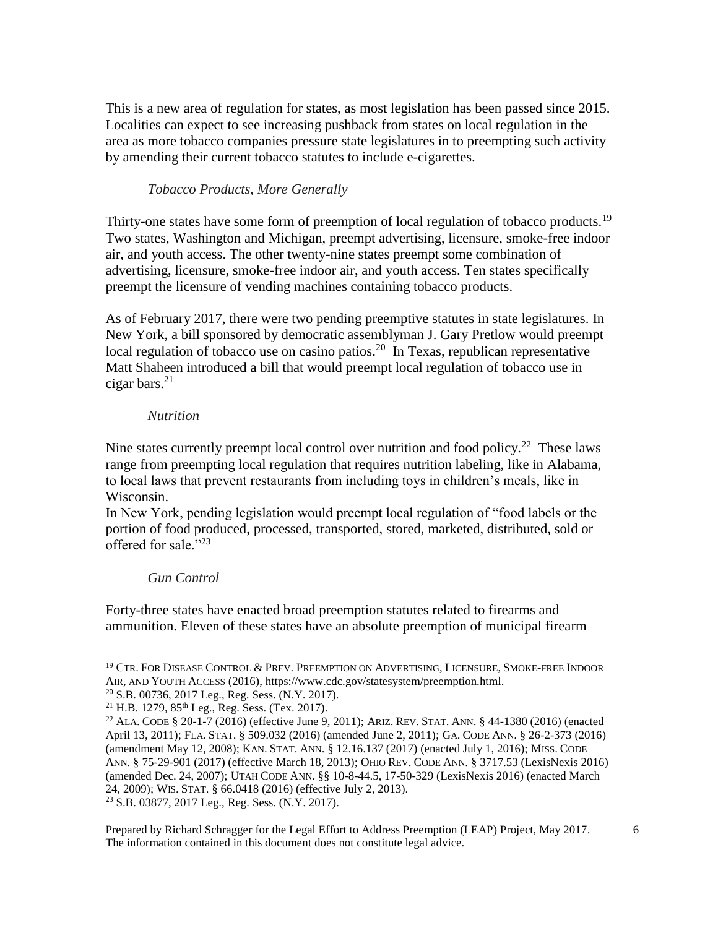This is a new area of regulation for states, as most legislation has been passed since 2015. Localities can expect to see increasing pushback from states on local regulation in the area as more tobacco companies pressure state legislatures in to preempting such activity by amending their current tobacco statutes to include e-cigarettes.

# *Tobacco Products, More Generally*

<span id="page-5-0"></span>Thirty-one states have some form of preemption of local regulation of tobacco products.<sup>19</sup> Two states, Washington and Michigan, preempt advertising, licensure, smoke-free indoor air, and youth access. The other twenty-nine states preempt some combination of advertising, licensure, smoke-free indoor air, and youth access. Ten states specifically preempt the licensure of vending machines containing tobacco products.

As of February 2017, there were two pending preemptive statutes in state legislatures. In New York, a bill sponsored by democratic assemblyman J. Gary Pretlow would preempt local regulation of tobacco use on casino patios.<sup>20</sup> In Texas, republican representative Matt Shaheen introduced a bill that would preempt local regulation of tobacco use in cigar bars. $^{21}$ 

## *Nutrition*

<span id="page-5-1"></span>Nine states currently preempt local control over nutrition and food policy.<sup>22</sup> These laws range from preempting local regulation that requires nutrition labeling, like in Alabama, to local laws that prevent restaurants from including toys in children's meals, like in Wisconsin.

In New York, pending legislation would preempt local regulation of "food labels or the portion of food produced, processed, transported, stored, marketed, distributed, sold or offered for sale."<sup>23</sup>

## *Gun Control*

 $\overline{a}$ 

<span id="page-5-2"></span>Forty-three states have enacted broad preemption statutes related to firearms and ammunition. Eleven of these states have an absolute preemption of municipal firearm

<sup>19</sup> CTR. FOR DISEASE CONTROL & PREV. PREEMPTION ON ADVERTISING, LICENSURE, SMOKE-FREE INDOOR AIR, AND YOUTH ACCESS (2016), [https://www.cdc.gov/statesystem/preemption.html.](https://www.cdc.gov/statesystem/preemption.html)

<sup>20</sup> S.B. 00736, 2017 Leg., Reg. Sess. (N.Y. 2017).

 $21$  H.B. 1279,  $85$ <sup>th</sup> Leg., Reg. Sess. (Tex. 2017).

<sup>22</sup> ALA. CODE § 20-1-7 (2016) (effective June 9, 2011); ARIZ. REV. STAT. ANN. § 44-1380 (2016) (enacted April 13, 2011); FLA. STAT. § 509.032 (2016) (amended June 2, 2011); GA. CODE ANN. § 26-2-373 (2016) (amendment May 12, 2008); KAN. STAT. ANN. § 12.16.137 (2017) (enacted July 1, 2016); MISS. CODE ANN. § 75-29-901 (2017) (effective March 18, 2013); OHIO REV. CODE ANN. § 3717.53 (LexisNexis 2016) (amended Dec. 24, 2007); UTAH CODE ANN. §§ 10-8-44.5, 17-50-329 (LexisNexis 2016) (enacted March 24, 2009); WIS. STAT. § 66.0418 (2016) (effective July 2, 2013). <sup>23</sup> S.B. 03877, 2017 Leg., Reg. Sess. (N.Y. 2017).

Prepared by Richard Schragger for the Legal Effort to Address Preemption (LEAP) Project, May 2017. The information contained in this document does not constitute legal advice.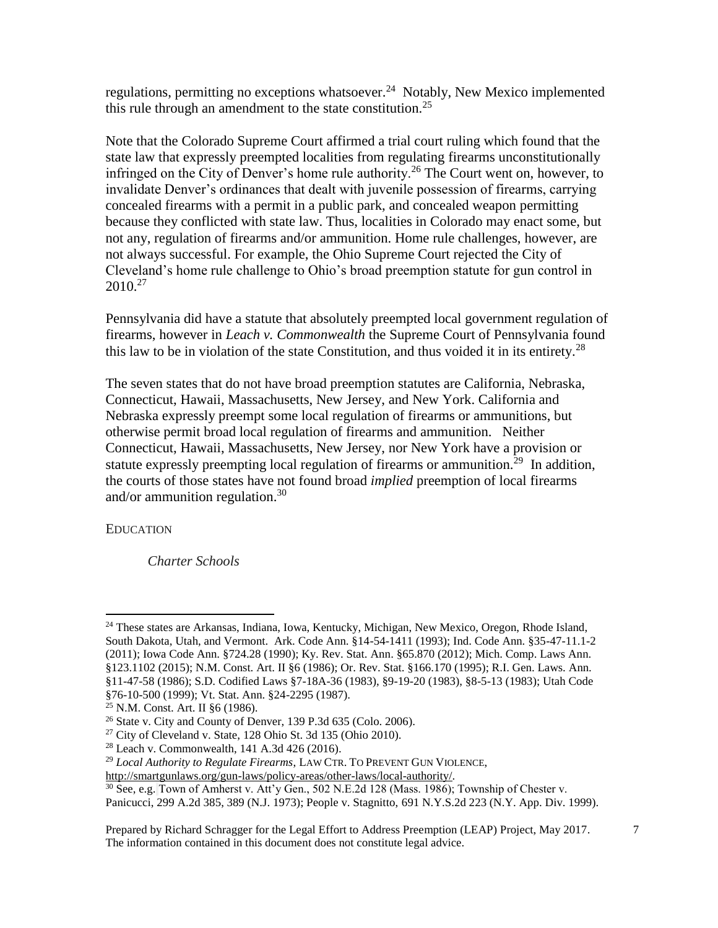regulations, permitting no exceptions whatsoever.<sup>24</sup> Notably, New Mexico implemented this rule through an amendment to the state constitution.<sup>25</sup>

Note that the Colorado Supreme Court affirmed a trial court ruling which found that the state law that expressly preempted localities from regulating firearms unconstitutionally infringed on the City of Denver's home rule authority.<sup>26</sup> The Court went on, however, to invalidate Denver's ordinances that dealt with juvenile possession of firearms, carrying concealed firearms with a permit in a public park, and concealed weapon permitting because they conflicted with state law. Thus, localities in Colorado may enact some, but not any, regulation of firearms and/or ammunition. Home rule challenges, however, are not always successful. For example, the Ohio Supreme Court rejected the City of Cleveland's home rule challenge to Ohio's broad preemption statute for gun control in  $2010^{27}$ 

Pennsylvania did have a statute that absolutely preempted local government regulation of firearms, however in *Leach v. Commonwealth* the Supreme Court of Pennsylvania found this law to be in violation of the state Constitution, and thus voided it in its entirety.<sup>28</sup>

The seven states that do not have broad preemption statutes are California, Nebraska, Connecticut, Hawaii, Massachusetts, New Jersey, and New York. California and Nebraska expressly preempt some local regulation of firearms or ammunitions, but otherwise permit broad local regulation of firearms and ammunition. Neither Connecticut, Hawaii, Massachusetts, New Jersey, nor New York have a provision or statute expressly preempting local regulation of firearms or ammunition.<sup>29</sup> In addition, the courts of those states have not found broad *implied* preemption of local firearms and/or ammunition regulation.<sup>30</sup>

<span id="page-6-1"></span><span id="page-6-0"></span>EDUCATION

 $\overline{a}$ 

*Charter Schools*

<sup>&</sup>lt;sup>24</sup> These states are Arkansas, Indiana, Iowa, Kentucky, Michigan, New Mexico, Oregon, Rhode Island, South Dakota, Utah, and Vermont. Ark. Code Ann. §14-54-1411 (1993); Ind. Code Ann. §35-47-11.1-2 (2011); Iowa Code Ann. §724.28 (1990); Ky. Rev. Stat. Ann. §65.870 (2012); Mich. Comp. Laws Ann. §123.1102 (2015); N.M. Const. Art. II §6 (1986); Or. Rev. Stat. §166.170 (1995); R.I. Gen. Laws. Ann. §11-47-58 (1986); S.D. Codified Laws §7-18A-36 (1983), §9-19-20 (1983), §8-5-13 (1983); Utah Code §76-10-500 (1999); Vt. Stat. Ann. §24-2295 (1987).

<sup>25</sup> N.M. Const. Art. II §6 (1986).

<sup>26</sup> State v. City and County of Denver, 139 P.3d 635 (Colo. 2006).

 $27$  City of Cleveland v. State, 128 Ohio St. 3d 135 (Ohio 2010).

<sup>28</sup> Leach v. Commonwealth, 141 A.3d 426 (2016).

<sup>29</sup> *Local Authority to Regulate Firearms*, LAW CTR. TO PREVENT GUN VIOLENCE,

[http://smartgunlaws.org/gun-laws/policy-areas/other-laws/local-authority/.](http://smartgunlaws.org/gun-laws/policy-areas/other-laws/local-authority/)

<sup>30</sup> See, e.g. Town of Amherst v. Att'y Gen., 502 N.E.2d 128 (Mass. 1986); Township of Chester v.

Panicucci, 299 A.2d 385, 389 (N.J. 1973); People v. Stagnitto, 691 N.Y.S.2d 223 (N.Y. App. Div. 1999).

Prepared by Richard Schragger for the Legal Effort to Address Preemption (LEAP) Project, May 2017. The information contained in this document does not constitute legal advice.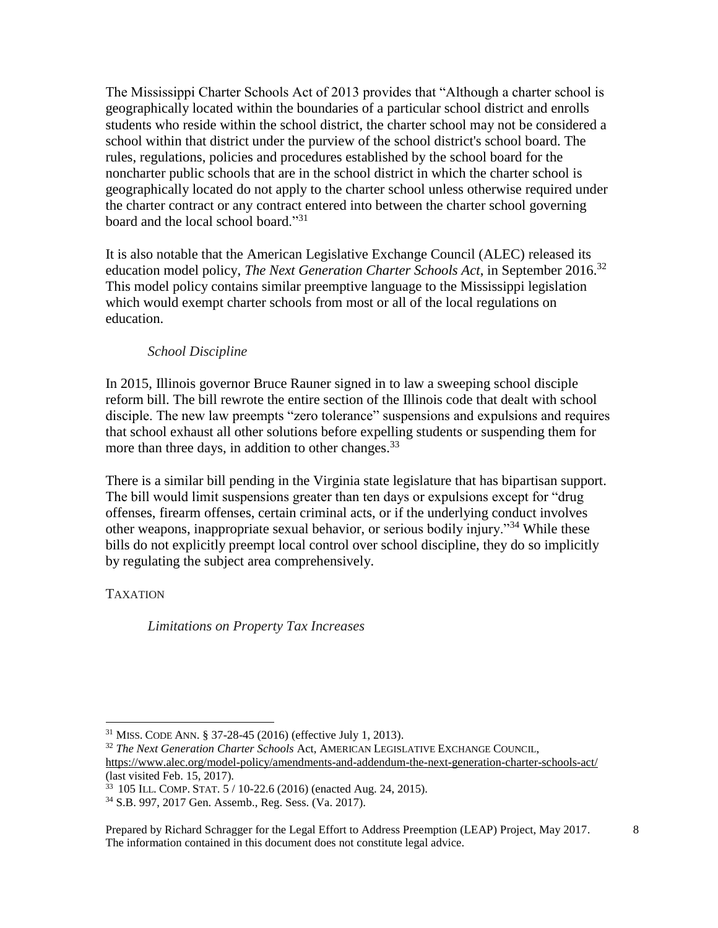The Mississippi Charter Schools Act of 2013 provides that "Although a charter school is geographically located within the boundaries of a particular school district and enrolls students who reside within the school district, the charter school may not be considered a school within that district under the purview of the school district's school board. The rules, regulations, policies and procedures established by the school board for the noncharter public schools that are in the school district in which the charter school is geographically located do not apply to the charter school unless otherwise required under the charter contract or any contract entered into between the charter school governing board and the local school board."<sup>31</sup>

It is also notable that the American Legislative Exchange Council (ALEC) released its education model policy, *The Next Generation Charter Schools Act*, in September 2016.<sup>32</sup> This model policy contains similar preemptive language to the Mississippi legislation which would exempt charter schools from most or all of the local regulations on education.

# *School Discipline*

<span id="page-7-0"></span>In 2015, Illinois governor Bruce Rauner signed in to law a sweeping school disciple reform bill. The bill rewrote the entire section of the Illinois code that dealt with school disciple. The new law preempts "zero tolerance" suspensions and expulsions and requires that school exhaust all other solutions before expelling students or suspending them for more than three days, in addition to other changes.<sup>33</sup>

There is a similar bill pending in the Virginia state legislature that has bipartisan support. The bill would limit suspensions greater than ten days or expulsions except for "drug offenses, firearm offenses, certain criminal acts, or if the underlying conduct involves other weapons, inappropriate sexual behavior, or serious bodily injury."<sup>34</sup> While these bills do not explicitly preempt local control over school discipline, they do so implicitly by regulating the subject area comprehensively.

<span id="page-7-2"></span><span id="page-7-1"></span>**TAXATION** 

l

*Limitations on Property Tax Increases*

<sup>31</sup> MISS. CODE ANN. § 37-28-45 (2016) (effective July 1, 2013).

<sup>32</sup> *The Next Generation Charter Schools* Act, AMERICAN LEGISLATIVE EXCHANGE COUNCIL, <https://www.alec.org/model-policy/amendments-and-addendum-the-next-generation-charter-schools-act/> (last visited Feb. 15, 2017).

 $33$  105 ILL. COMP. STAT.  $5/10$ -22.6 (2016) (enacted Aug. 24, 2015).

<sup>34</sup> S.B. 997, 2017 Gen. Assemb., Reg. Sess. (Va. 2017).

Prepared by Richard Schragger for the Legal Effort to Address Preemption (LEAP) Project, May 2017. The information contained in this document does not constitute legal advice.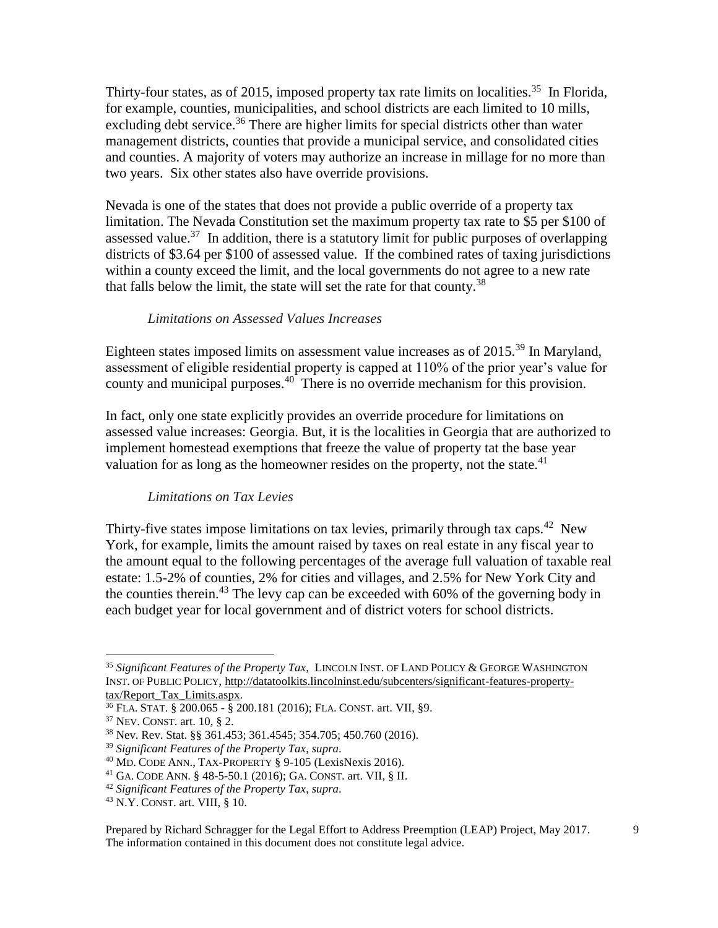Thirty-four states, as of 2015, imposed property tax rate limits on localities.<sup>35</sup> In Florida, for example, counties, municipalities, and school districts are each limited to 10 mills, excluding debt service.<sup>36</sup> There are higher limits for special districts other than water management districts, counties that provide a municipal service, and consolidated cities and counties. A majority of voters may authorize an increase in millage for no more than two years. Six other states also have override provisions.

Nevada is one of the states that does not provide a public override of a property tax limitation. The Nevada Constitution set the maximum property tax rate to \$5 per \$100 of assessed value.<sup>37</sup> In addition, there is a statutory limit for public purposes of overlapping districts of \$3.64 per \$100 of assessed value. If the combined rates of taxing jurisdictions within a county exceed the limit, and the local governments do not agree to a new rate that falls below the limit, the state will set the rate for that county.<sup>38</sup>

## *Limitations on Assessed Values Increases*

<span id="page-8-0"></span>Eighteen states imposed limits on assessment value increases as of  $2015<sup>39</sup>$  In Maryland, assessment of eligible residential property is capped at 110% of the prior year's value for county and municipal purposes.<sup>40</sup> There is no override mechanism for this provision.

In fact, only one state explicitly provides an override procedure for limitations on assessed value increases: Georgia. But, it is the localities in Georgia that are authorized to implement homestead exemptions that freeze the value of property tat the base year valuation for as long as the homeowner resides on the property, not the state. $41$ 

## <span id="page-8-1"></span>*Limitations on Tax Levies*

Thirty-five states impose limitations on tax levies, primarily through tax caps.<sup>42</sup> New York, for example, limits the amount raised by taxes on real estate in any fiscal year to the amount equal to the following percentages of the average full valuation of taxable real estate: 1.5-2% of counties, 2% for cities and villages, and 2.5% for New York City and the counties therein.<sup>43</sup> The levy cap can be exceeded with 60% of the governing body in each budget year for local government and of district voters for school districts.

 $\overline{a}$ <sup>35</sup> *Significant Features of the Property Tax*, LINCOLN INST. OF LAND POLICY & GEORGE WASHINGTON INST. OF PUBLIC POLICY[, http://datatoolkits.lincolninst.edu/subcenters/significant-features-property](http://datatoolkits.lincolninst.edu/subcenters/significant-features-property-tax/Report_Tax_Limits.aspx)[tax/Report\\_Tax\\_Limits.aspx.](http://datatoolkits.lincolninst.edu/subcenters/significant-features-property-tax/Report_Tax_Limits.aspx)

<sup>36</sup> FLA. STAT. § 200.065 - § 200.181 (2016); FLA. CONST. art. VII, §9.

<sup>37</sup> NEV. CONST. art. 10, § 2.

<sup>38</sup> Nev. Rev. Stat. §§ 361.453; 361.4545; 354.705; 450.760 (2016).

<sup>39</sup> *Significant Features of the Property Tax*, *supra*.

<sup>40</sup> MD. CODE ANN., TAX-PROPERTY § 9-105 (LexisNexis 2016).

<sup>41</sup> GA. CODE ANN. § 48-5-50.1 (2016); GA. CONST. art. VII, § II.

<sup>42</sup> *Significant Features of the Property Tax*, *supra*.

<sup>43</sup> N.Y. CONST. art. VIII, § 10.

Prepared by Richard Schragger for the Legal Effort to Address Preemption (LEAP) Project, May 2017. The information contained in this document does not constitute legal advice.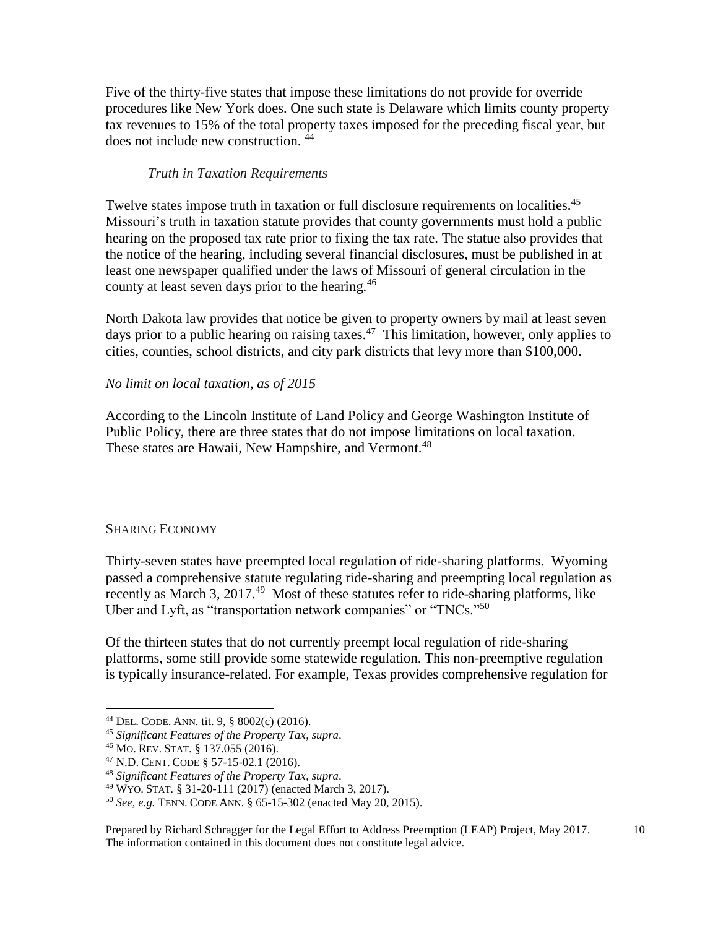Five of the thirty-five states that impose these limitations do not provide for override procedures like New York does. One such state is Delaware which limits county property tax revenues to 15% of the total property taxes imposed for the preceding fiscal year, but does not include new construction. <sup>44</sup>

# *Truth in Taxation Requirements*

<span id="page-9-0"></span>Twelve states impose truth in taxation or full disclosure requirements on localities.<sup>45</sup> Missouri's truth in taxation statute provides that county governments must hold a public hearing on the proposed tax rate prior to fixing the tax rate. The statue also provides that the notice of the hearing, including several financial disclosures, must be published in at least one newspaper qualified under the laws of Missouri of general circulation in the county at least seven days prior to the hearing.<sup>46</sup>

North Dakota law provides that notice be given to property owners by mail at least seven days prior to a public hearing on raising taxes.<sup>47</sup> This limitation, however, only applies to cities, counties, school districts, and city park districts that levy more than \$100,000.

# *No limit on local taxation, as of 2015*

According to the Lincoln Institute of Land Policy and George Washington Institute of Public Policy, there are three states that do not impose limitations on local taxation. These states are Hawaii, New Hampshire, and Vermont.<sup>48</sup>

## <span id="page-9-1"></span>SHARING ECONOMY

 $\overline{a}$ 

Thirty-seven states have preempted local regulation of ride-sharing platforms. Wyoming passed a comprehensive statute regulating ride-sharing and preempting local regulation as recently as March 3, 2017.<sup>49</sup> Most of these statutes refer to ride-sharing platforms, like Uber and Lyft, as "transportation network companies" or "TNCs."<sup>50</sup>

Of the thirteen states that do not currently preempt local regulation of ride-sharing platforms, some still provide some statewide regulation. This non-preemptive regulation is typically insurance-related. For example, Texas provides comprehensive regulation for

<sup>44</sup> DEL. CODE. ANN. tit. 9, § 8002(c) (2016).

<sup>45</sup> *Significant Features of the Property Tax*, *supra*.

<sup>46</sup> MO. REV. STAT. § 137.055 (2016).

<sup>47</sup> N.D. CENT. CODE § 57-15-02.1 (2016).

<sup>48</sup> *Significant Features of the Property Tax*, *supra*.

<sup>49</sup> WYO. STAT. § 31-20-111 (2017) (enacted March 3, 2017).

<sup>50</sup> *See, e.g.* TENN. CODE ANN. § 65-15-302 (enacted May 20, 2015).

Prepared by Richard Schragger for the Legal Effort to Address Preemption (LEAP) Project, May 2017. The information contained in this document does not constitute legal advice.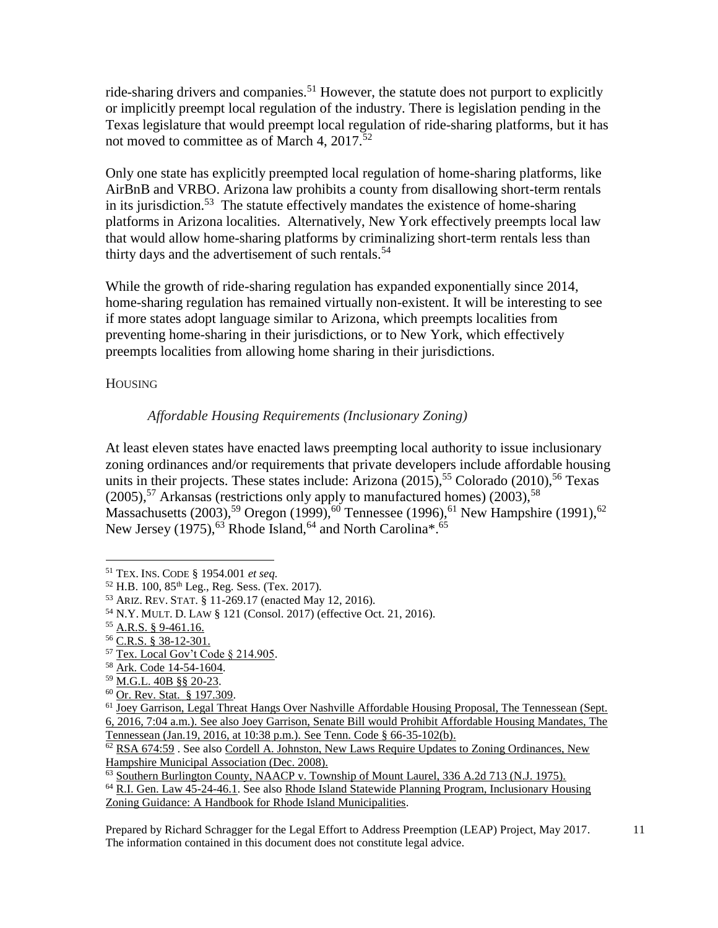ride-sharing drivers and companies.<sup>51</sup> However, the statute does not purport to explicitly or implicitly preempt local regulation of the industry. There is legislation pending in the Texas legislature that would preempt local regulation of ride-sharing platforms, but it has not moved to committee as of March 4,  $2017<sup>52</sup>$ 

Only one state has explicitly preempted local regulation of home-sharing platforms, like AirBnB and VRBO. Arizona law prohibits a county from disallowing short-term rentals in its jurisdiction.<sup>53</sup> The statute effectively mandates the existence of home-sharing platforms in Arizona localities. Alternatively, New York effectively preempts local law that would allow home-sharing platforms by criminalizing short-term rentals less than thirty days and the advertisement of such rentals.<sup>54</sup>

While the growth of ride-sharing regulation has expanded exponentially since 2014, home-sharing regulation has remained virtually non-existent. It will be interesting to see if more states adopt language similar to Arizona, which preempts localities from preventing home-sharing in their jurisdictions, or to New York, which effectively preempts localities from allowing home sharing in their jurisdictions.

<span id="page-10-1"></span><span id="page-10-0"></span>HOUSING

l

# *Affordable Housing Requirements (Inclusionary Zoning)*

At least eleven states have enacted laws preempting local authority to issue inclusionary zoning ordinances and/or requirements that private developers include affordable housing units in their projects. These states include: Arizona  $(2015)$ ,<sup>55</sup> Colorado  $(2010)$ ,<sup>56</sup> Texas  $(2005)$ ,<sup>57</sup> Arkansas (restrictions only apply to manufactured homes)  $(2003)$ ,<sup>58</sup> Massachusetts (2003),<sup>59</sup> Oregon (1999),<sup>60</sup> Tennessee (1996),<sup>61</sup> New Hampshire (1991),<sup>62</sup> New Jersey  $(1975)$ , <sup>63</sup> Rhode Island, <sup>64</sup> and North Carolina<sup>\*</sup>. <sup>65</sup>

<sup>57</sup> [Tex. Local Gov't Code § 214.905.](http://www.statutes.legis.state.tx.us/Docs/LG/htm/LG.214.htm)

<sup>64</sup> [R.I. Gen. Law 45-24-46.1.](http://webserver.rilin.state.ri.us/Statutes/TITLE45/45-24/45-24-46.1.HTM) See also [Rhode Island Statewide Planning Program, Inclusionary Housing](http://www.planning.ri.gov/documents/sustainable/2015/FINAL_Inclusionary_Zoning_w_Appendix_A.pdf)  Zoning Guidance: A [Handbook for Rhode Island Municipalities.](http://www.planning.ri.gov/documents/sustainable/2015/FINAL_Inclusionary_Zoning_w_Appendix_A.pdf)

<sup>51</sup> TEX. INS. CODE § 1954.001 *et seq.* 

 $52$  H.B. 100,  $85<sup>th</sup>$  Leg., Reg. Sess. (Tex. 2017).

<sup>53</sup> ARIZ. REV. STAT. § 11-269.17 (enacted May 12, 2016).

<sup>54</sup> N.Y. MULT. D. LAW § 121 (Consol. 2017) (effective Oct. 21, 2016).

<sup>55</sup> [A.R.S. § 9-461.16.](https://legiscan.com/AZ/text/SB1072/id/1074754)

<sup>56</sup> [C.R.S. § 38-12-301.](http://www.lexisnexis.com/hottopics/colorado/?app=00075&view=full&interface=1&docinfo=off&searchtype=get&search=C.R.S.+38-12-301)

<sup>58</sup> [Ark. Code 14-54-1604.](http://www.lexisnexis.com/hottopics/arcode/Default.asp)

<sup>59</sup> [M.G.L. 40B §§ 20-23.](https://malegislature.gov/Laws/GeneralLaws/PartI/TitleVII/Chapter40B)

<sup>60</sup> [Or. Rev. Stat. § 197.309.](https://www.oregonlaws.org/ors/197.309)

<sup>&</sup>lt;sup>61</sup> Joey Garrison, Legal Threat Hangs Over Nashville Affordable Housing Proposal, The Tennessean (Sept. [6, 2016, 7:04 a.m.\).](http://www.tennessean.com/story/news/local/davidson%20/2016/09/06/legal-threat-hangs-over-nashville-affordable-housing-proposal/89782528/) See also [Joey Garrison, Senate Bill would Prohibit Affordable Housing Mandates, The](http://www.tennessean.com/story/news/2016/01/19/state-bill-would-prohibit-affordable-housing-mandates/79003712/)  [Tennessean \(Jan.19, 2016, at 10:38 p.m.\).](http://www.tennessean.com/story/news/2016/01/19/state-bill-would-prohibit-affordable-housing-mandates/79003712/) See [Tenn. Code § 66-35-102\(b\).](https://www.lexisnexis.com/hottopics/tncode/)

<sup>&</sup>lt;sup>62</sup> [RSA 674:59](http://www.gencourt.state.nh.us/rsa/html/LXIV/674/674-59.htm) . See also Cordell A. Johnston, New Laws Require Updates to Zoning Ordinances, New [Hampshire Municipal Association \(Dec. 2008\).](https://www.nhmunicipal.org/TownAndCity/Article/131.)

<sup>63</sup> [Southern Burlington County, NAACP v. Township of Mount Laurel, 336 A.2d 713 \(N.J. 1975\).](https://www.quimbee.com/cases/southern-burlington-county-naacp-v-township-of-mount-laurel)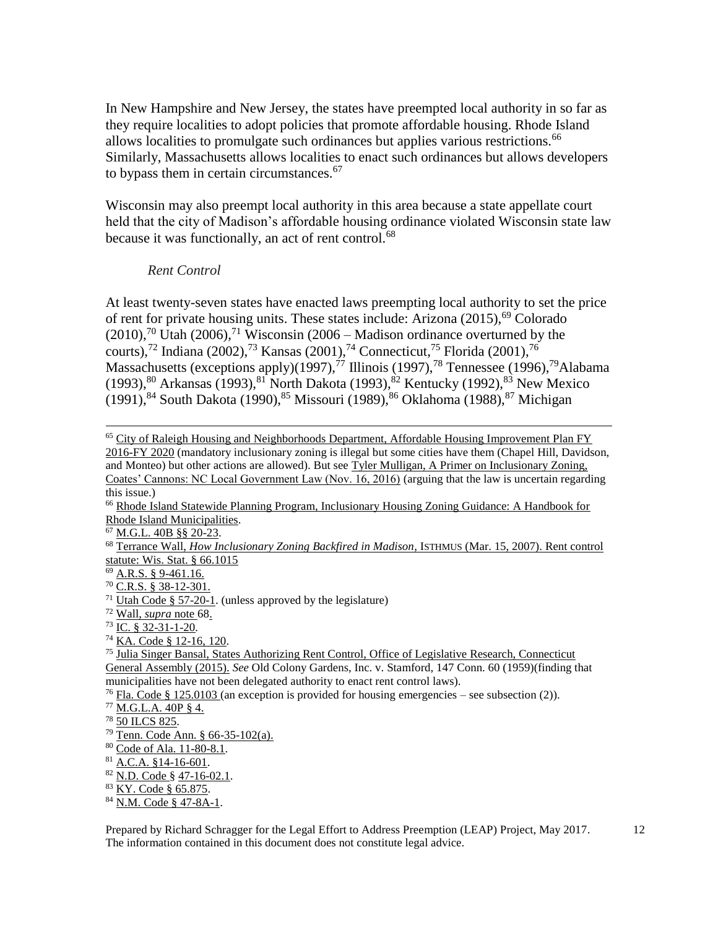In New Hampshire and New Jersey, the states have preempted local authority in so far as they require localities to adopt policies that promote affordable housing. Rhode Island allows localities to promulgate such ordinances but applies various restrictions.<sup>66</sup> Similarly, Massachusetts allows localities to enact such ordinances but allows developers to bypass them in certain circumstances.<sup>67</sup>

Wisconsin may also preempt local authority in this area because a state appellate court held that the city of Madison's affordable housing ordinance violated Wisconsin state law because it was functionally, an act of rent control.<sup>68</sup>

#### *Rent Control*

<span id="page-11-0"></span>At least twenty-seven states have enacted laws preempting local authority to set the price of rent for private housing units. These states include: Arizona  $(2015)$ , <sup>69</sup> Colorado  $(2010)$ ,<sup>70</sup> Utah (2006),<sup>71</sup> Wisconsin (2006 – Madison ordinance overturned by the courts),<sup>72</sup> Indiana (2002),<sup>73</sup> Kansas (2001),<sup>74</sup> Connecticut,<sup>75</sup> Florida (2001),<sup>76</sup> Massachusetts (exceptions apply)(1997),<sup>77</sup> Illinois (1997),<sup>78</sup> Tennessee (1996),<sup>79</sup>Alabama  $(1993)$ ,<sup>80</sup> Arkansas (1993),<sup>81</sup> North Dakota (1993),<sup>82</sup> Kentucky (1992),<sup>83</sup> New Mexico  $(1991),^{84}$  South Dakota (1990), <sup>85</sup> Missouri (1989), <sup>86</sup> Oklahoma (1988), <sup>87</sup> Michigan

 $\overline{a}$ 

 $\overline{69}$  [A.R.S. § 9-461.16.](https://legiscan.com/AZ/text/SB1072/id/1074754)

<sup>70</sup> [C.R.S. § 38-12-301.](http://www.lexisnexis.com/hottopics/colorado/?app=00075&view=full&interface=1&docinfo=off&searchtype=get&search=C.R.S.+38-12-301)

<sup>72</sup> Wall, *supra* [note 68.](http://isthmus.com/opinion/opinion/how-inclusionary-zoning-backfired-on-madison/)

<sup>73</sup> [IC. § 32-31-1-20.](http://iga.in.gov/static-documents/4/e/7/e/4e7eb06c/TITLE32_AR31_ch1.pdf)

<sup>74</sup> [KA. Code § 12-16, 120.](http://www.kslegislature.org/li_2014/b2013_14/statute/012_000_0000_chapter/012_016_0000_article/012_016_0120_section/012_016_0120_k/)

<sup>75</sup> [Julia Singer Bansal, States Authorizing Rent Control, Office of Legislative Research, Connecticut](https://www.cga.ct.gov/2015/rpt/pdf/2015-R-0020.pdf)  [General Assembly \(2015\).](https://www.cga.ct.gov/2015/rpt/pdf/2015-R-0020.pdf) *See* Old Colony Gardens, Inc. v. Stamford, 147 Conn. 60 (1959)(finding that municipalities have not been delegated authority to enact rent control laws).

<sup>76</sup> [Fla. Code § 125.0103](http://www.leg.state.fl.us/Statutes/index.cfm?App_mode=Display_Statute&Search_String=&URL=0100-0199/0125/Sections/0125.0103.html) (an exception is provided for housing emergencies – see subsection (2)).

<sup>77</sup> [M.G.L.A. 40P § 4.](https://malegislature.gov/Laws/GeneralLaws/PartI/TitleVII/Chapter40P/Section4)

<sup>78</sup> [50 ILCS 825.](http://www.ilga.gov/legislation/ilcs/ilcs3.asp?ActID=748&ChapterID=11)

<sup>79</sup> [Tenn. Code Ann. § 66-35-102\(a\).](https://www.lexisnexis.com/hottopics/tncode/)

<sup>80</sup> [Code of Ala. 11-80-8.1.](http://alisondb.legislature.state.al.us/alison/codeofalabama/1975/coatoc.htm)

81 [A.C.A. §14-16-601.](http://www.lexisnexis.com/hottopics/arcode/Default.asp)

<sup>82</sup> [N.D. Code § 47-16-02.1.](http://www.legis.nd.gov/cencode/t47c16.pdf?20160325135932)

<sup>83</sup> [KY. Code § 65.875.](http://www.lrc.ky.gov/Statutes/statute.aspx?id=23533)

<sup>84</sup> [N.M. Code § 47-8A-1.](http://public.nmcompcomm.us/nmpublic/gateway.dll/?f=templates&fn=default.htm)

<sup>&</sup>lt;sup>65</sup> City of Raleigh Housing and Neighborhoods Department, Affordable Housing Improvement Plan FY [2016-FY 2020](file:///C:/Users/User/Downloads/AffordableHousingImprovementPlan.pdf) (mandatory inclusionary zoning is illegal but some cities have them (Chapel Hill, Davidson, and Monteo) but other actions are allowed). But see [Tyler Mulligan, A Primer on Inclusionary Zoning,](http://canons.sog.unc.edu/a-primer-on-inclusionary-zoning/)  [Coates' Cannons: NC Local Government Law \(Nov. 16, 2016\)](http://canons.sog.unc.edu/a-primer-on-inclusionary-zoning/) (arguing that the law is uncertain regarding this issue.)

<sup>66</sup> [Rhode Island Statewide Planning Program, Inclusionary Housing Zoning Guidance: A Handbook for](http://www.planning.ri.gov/documents/sustainable/2015/FINAL_Inclusionary_Zoning_w_Appendix_A.pdf)  [Rhode Island Municipalities.](http://www.planning.ri.gov/documents/sustainable/2015/FINAL_Inclusionary_Zoning_w_Appendix_A.pdf)

<sup>67</sup> [M.G.L. 40B §§ 20-23.](https://malegislature.gov/Laws/GeneralLaws/PartI/TitleVII/Chapter40B)

<sup>68</sup> Terrance Wall, *[How Inclusionary Zoning Backfired in Madison](http://isthmus.com/opinion/opinion/how-inclusionary-zoning-backfired-on-madison/)*, ISTHMUS (Mar. 15, 2007). Rent control statute: [Wis. Stat. § 66.1015](https://docs.legis.wisconsin.gov/statutes/statutes/66/X/1015)

<sup>&</sup>lt;sup>71</sup> [Utah Code § 57-20-1.](http://le.utah.gov/xcode/Title57/Chapter20/C57-20-S1_1800010118000101.pdf) (unless approved by the legislature)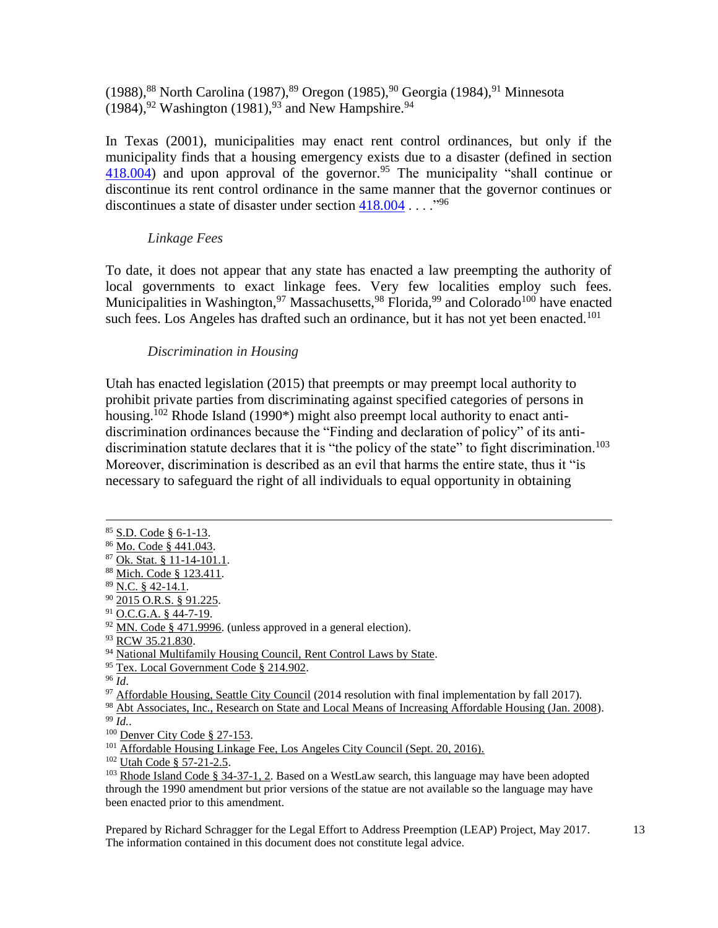$(1988)$ ,<sup>88</sup> North Carolina (1987), <sup>89</sup> Oregon (1985), <sup>90</sup> Georgia (1984), <sup>91</sup> Minnesota  $(1984)$ ,  $92$  Washington  $(1981)$ ,  $93$  and New Hampshire.  $94$ 

In Texas (2001), municipalities may enact rent control ordinances, but only if the municipality finds that a housing emergency exists due to a disaster (defined in section  $\frac{418.004}{95}$  and upon approval of the governor.<sup>95</sup> The municipality "shall continue or discontinue its rent control ordinance in the same manner that the governor continues or discontinues a state of disaster under section  $418.004...$ <sup>. . . . . . . 96</sup>

# *Linkage Fees*

<span id="page-12-0"></span>To date, it does not appear that any state has enacted a law preempting the authority of local governments to exact linkage fees. Very few localities employ such fees. Municipalities in Washington,  $97$  Massachusetts,  $98$  Florida,  $99$  and Colorado<sup>100</sup> have enacted such fees. Los Angeles has drafted such an ordinance, but it has not yet been enacted.<sup>101</sup>

# *Discrimination in Housing*

<span id="page-12-1"></span>Utah has enacted legislation (2015) that preempts or may preempt local authority to prohibit private parties from discriminating against specified categories of persons in housing.<sup>102</sup> Rhode Island (1990\*) might also preempt local authority to enact antidiscrimination ordinances because the "Finding and declaration of policy" of its antidiscrimination statute declares that it is "the policy of the state" to fight discrimination.<sup>103</sup> Moreover, discrimination is described as an evil that harms the entire state, thus it "is necessary to safeguard the right of all individuals to equal opportunity in obtaining

 $\overline{a}$ 

<sup>99</sup> *Id.*.

<sup>85</sup> [S.D. Code § 6-1-13.](http://sdlegislature.gov/Statutes/Codified_Laws/DisplayStatute.aspx?Type=Statute&Statute=6-1-13)

<sup>86</sup> [Mo. Code § 441.043.](https://www.nmhc.org/uploadedFiles/Articles/Final_Legislation_and_Regulation/Missouri%20Rent%20Control.pdf)

<sup>87</sup> [Ok. Stat. § 11-14-101.1.](http://www.oklegislature.gov/osstatuestitle.html)

<sup>88</sup> [Mich. Code § 123.411.](http://www.legislature.mi.gov/(S(weryr4clj2mnuzqqcrgsrxwm))/mileg.aspx?page=GetObject&objectname=mcl-123-411)

<sup>89</sup> [N.C. § 42-14.1.](http://www.ncleg.net/enactedlegislation/statutes/pdf/bysection/chapter_42/gs_42-14.1.pdf)

<sup>90</sup> [2015 O.R.S. § 91.225.](https://www.oregonlaws.org/ors/91.225)

<sup>91</sup> [O.C.G.A. § 44-7-19.](http://www.lexisnexis.com/hottopics/gacode/Default.asp)

 $92$  [MN. Code § 471.9996.](https://www.revisor.mn.gov/statutes/?id=471.9996) (unless approved in a general election).

<sup>93</sup> [RCW 35.21.830.](http://apps.leg.wa.gov/rcw/default.aspx?cite=35.21.830)

<sup>&</sup>lt;sup>94</sup> [National Multifamily Housing Council, Rent Control Laws by State.](http://www.nmhc.org/Research-Insight/Rent-Control-Laws-by-State/)

<sup>&</sup>lt;sup>95</sup> [Tex. Local Government Code § 214.902.](http://www.statutes.legis.state.tx.us/Docs/LG/htm/LG.214.htm#214.902)

<sup>96</sup> *Id*.

<sup>97</sup> [Affordable Housing, Seattle City Council](https://www.seattle.gov/council/issues/affordable-housing) (2014 resolution with final implementation by fall 2017).

<sup>98</sup> [Abt Associates, Inc., Research on State and Local Means of Increasing Affordable Housing \(Jan. 2008\)](https://www.nahb.org/en/research/~/media/081D6A616C444F6C92E853E36264E72C.ashx).

<sup>&</sup>lt;sup>100</sup> [Denver City Code § 27-153.](https://www.municode.com/library/co/denver/codes/code_of_ordinances?nodeId=TITIIREMUCO_CH27HO_ARTVDEFUAFHO_DIV2LIFE_S27-153IMLIFE)

<sup>&</sup>lt;sup>101</sup> [Affordable Housing Linkage Fee, Los Angeles City Council \(Sept. 20, 2016\).](http://planning.lacity.org/ordinances/docs/AHLF/AHLF%20Background%20FAQ.pdf)

<sup>102</sup> [Utah Code § 57-21-2.5.](http://le.utah.gov/xcode/Title57/Chapter21/57-21-S2.5.html?v=C57-21-S2.5_2015051220150512)

<sup>&</sup>lt;sup>103</sup> [Rhode Island Code § 34-37-1,](http://webserver.rilin.state.ri.us/Statutes/TITLE34/34-37/34-37-1.HTM) 2. Based on a WestLaw search, this language may have been adopted through the 1990 amendment but prior versions of the statue are not available so the language may have been enacted prior to this amendment.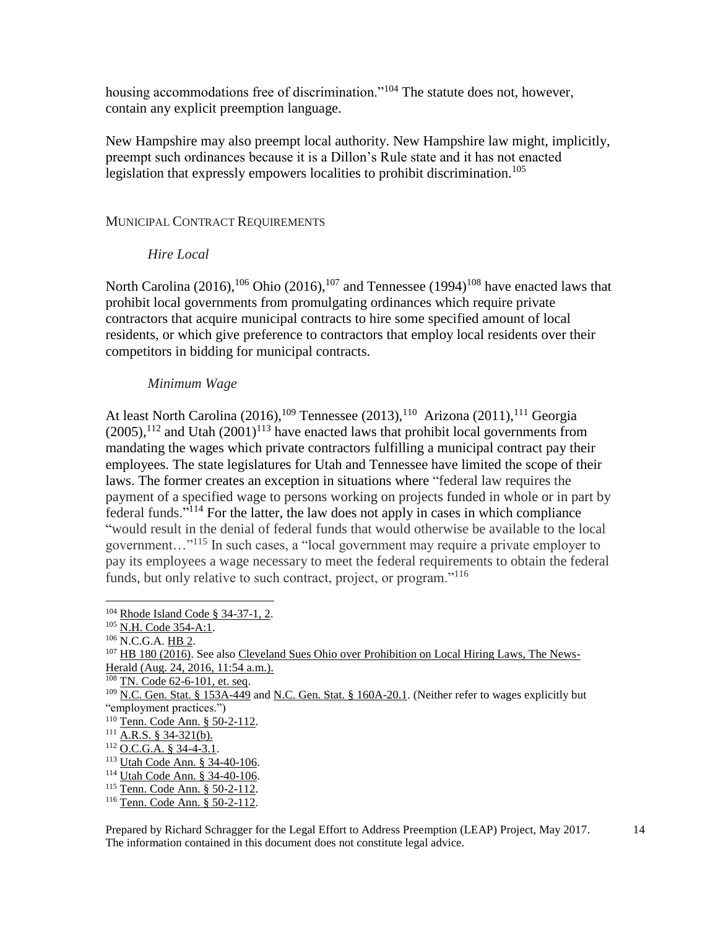housing accommodations free of discrimination."<sup>104</sup> The statute does not, however, contain any explicit preemption language.

New Hampshire may also preempt local authority. New Hampshire law might, implicitly, preempt such ordinances because it is a Dillon's Rule state and it has not enacted legislation that expressly empowers localities to prohibit discrimination.<sup>105</sup>

# <span id="page-13-1"></span><span id="page-13-0"></span>MUNICIPAL CONTRACT REQUIREMENTS

# *Hire Local*

North Carolina (2016),<sup>106</sup> Ohio (2016),<sup>107</sup> and Tennessee (1994)<sup>108</sup> have enacted laws that prohibit local governments from promulgating ordinances which require private contractors that acquire municipal contracts to hire some specified amount of local residents, or which give preference to contractors that employ local residents over their competitors in bidding for municipal contracts.

# *Minimum Wage*

<span id="page-13-2"></span>At least North Carolina (2016),  $^{109}$  Tennessee (2013),  $^{110}$  Arizona (2011),  $^{111}$  Georgia  $(2005)$ , <sup>112</sup> and Utah  $(2001)$ <sup>113</sup> have enacted laws that prohibit local governments from mandating the wages which private contractors fulfilling a municipal contract pay their employees. The state legislatures for Utah and Tennessee have limited the scope of their laws. The former creates an exception in situations where "federal law requires the payment of a specified wage to persons working on projects funded in whole or in part by federal funds."<sup>114</sup> For the latter, the law does not apply in cases in which compliance "would result in the denial of federal funds that would otherwise be available to the local government…"<sup>115</sup> In such cases, a "local government may require a private employer to pay its employees a wage necessary to meet the federal requirements to obtain the federal funds, but only relative to such contract, project, or program."<sup>116</sup>

 $\overline{a}$ 

<sup>113</sup> [Utah Code Ann. § 34-40-106.](http://le.utah.gov/xcode/Title34/Chapter40/34-40-S106.html?v=C34-40-S106_1800010118000101)

<sup>&</sup>lt;sup>104</sup> [Rhode Island Code § 34-37-1,](http://webserver.rilin.state.ri.us/Statutes/TITLE34/34-37/34-37-1.HTM) 2.

<sup>&</sup>lt;sup>105</sup> [N.H. Code 354-A:1.](http://gencourt.state.nh.us/rsa/html/XXXI/354-A/354-A-1.htm)

<sup>106</sup> N.C.G.A. [HB 2.](http://www.ncleg.net/sessions/2015e2/bills/house/pdf/h2v4.pdf)

<sup>107</sup> [HB 180 \(2016\).](file:///C:/Users/User/Downloads/hb180_05_EN%20(1).pdf) See also [Cleveland Sues Ohio over Prohibition on Local Hiring Laws, The News-](http://www.news-herald.com/article/HR/20160824/NEWS/160829729)[Herald \(Aug. 24, 2016, 11:54 a.m.\).](http://www.news-herald.com/article/HR/20160824/NEWS/160829729)

<sup>108</sup> [TN. Code 62-6-101, et. seq.](https://www.tn.gov/lawsandpolicies/article/62-6-101.-short-title)

<sup>109</sup> [N.C. Gen. Stat. § 153A-449](http://www.ncleg.net/gascripts/statutes/StatutesTOC.pl?Chapter=0153A) and [N.C. Gen. Stat. § 160A-20.1.](http://www.ncga.state.nc.us/gascripts/statutes/statutelookup.pl?statute=160A-20.1) (Neither refer to wages explicitly but "employment practices.")

<sup>110</sup> [Tenn. Code Ann. § 50-2-112.](https://www.lexisnexis.com/hottopics/tncode/)

 $111 \overline{A.R.S. \$ § 34-321(b).

<sup>&</sup>lt;sup>112</sup> [O.C.G.A. § 34-4-3.1.](http://www.lexisnexis.com/hottopics/gacode/Default.asp)

<sup>114</sup> [Utah Code Ann. § 34-40-106.](http://le.utah.gov/xcode/Title34/Chapter40/34-40-S106.html?v=C34-40-S106_1800010118000101)

<sup>115</sup> [Tenn. Code Ann. § 50-2-112.](https://www.lexisnexis.com/hottopics/tncode/)

<sup>116</sup> [Tenn. Code Ann. § 50-2-112.](https://www.lexisnexis.com/hottopics/tncode/)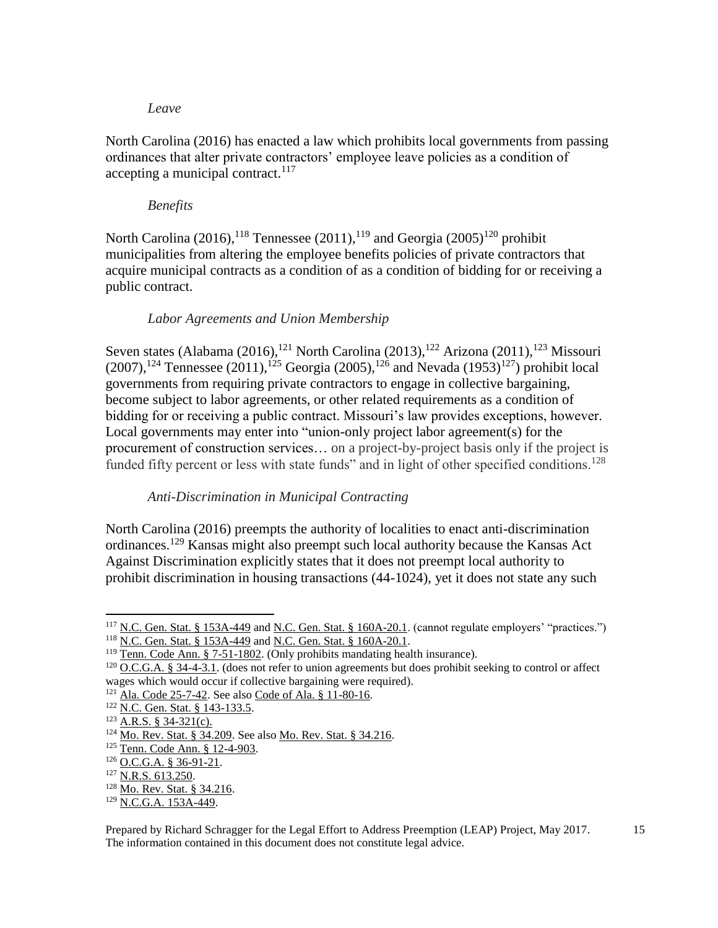#### *Leave*

<span id="page-14-1"></span><span id="page-14-0"></span>North Carolina (2016) has enacted a law which prohibits local governments from passing ordinances that alter private contractors' employee leave policies as a condition of accepting a municipal contract.<sup>117</sup>

#### *Benefits*

North Carolina (2016),<sup>118</sup> Tennessee (2011),<sup>119</sup> and Georgia (2005)<sup>120</sup> prohibit municipalities from altering the employee benefits policies of private contractors that acquire municipal contracts as a condition of as a condition of bidding for or receiving a public contract.

## *Labor Agreements and Union Membership*

<span id="page-14-2"></span>Seven states (Alabama (2016),<sup>121</sup> North Carolina (2013),<sup>122</sup> Arizona (2011),<sup>123</sup> Missouri (2007),<sup>124</sup> Tennessee (2011),<sup>125</sup> Georgia (2005),<sup>126</sup> and Nevada (1953)<sup>127</sup>) prohibit local governments from requiring private contractors to engage in collective bargaining, become subject to labor agreements, or other related requirements as a condition of bidding for or receiving a public contract. Missouri's law provides exceptions, however. Local governments may enter into "union-only project labor agreement(s) for the procurement of construction services… on a project-by-project basis only if the project is funded fifty percent or less with state funds" and in light of other specified conditions.<sup>128</sup>

## *Anti-Discrimination in Municipal Contracting*

<span id="page-14-3"></span>North Carolina (2016) preempts the authority of localities to enact anti-discrimination ordinances.<sup>129</sup> Kansas might also preempt such local authority because the Kansas Act Against Discrimination explicitly states that it does not preempt local authority to prohibit discrimination in housing transactions (44-1024), yet it does not state any such

<sup>117</sup> [N.C. Gen. Stat. § 153A-449](http://www.ncleg.net/gascripts/statutes/StatutesTOC.pl?Chapter=0153A) and [N.C. Gen. Stat. § 160A-20.1.](http://www.ncga.state.nc.us/gascripts/statutes/statutelookup.pl?statute=160A-20.1) (cannot regulate employers' "practices.") <sup>118</sup> [N.C. Gen. Stat. § 153A-449](http://www.ncleg.net/gascripts/statutes/StatutesTOC.pl?Chapter=0153A) and [N.C. Gen. Stat. § 160A-20.1.](http://www.ncga.state.nc.us/gascripts/statutes/statutelookup.pl?statute=160A-20.1)

<sup>119</sup> [Tenn. Code Ann. § 7-51-1802.](https://www.lexisnexis.com/hottopics/tncode/) (Only prohibits mandating health insurance).

<sup>120</sup> [O.C.G.A. § 34-4-3.1.](http://www.lexisnexis.com/hottopics/gacode/Default.asp) (does not refer to union agreements but does prohibit seeking to control or affect wages which would occur if collective bargaining were required).

<sup>&</sup>lt;sup>121</sup> [Ala. Code 25-7-42.](http://alisondb.legislature.state.al.us/alison/CodeOfAlabama/1975/Coatoc.htm) See also [Code of Ala. § 11-80-16.](http://alisondb.legislature.state.al.us/alison/codeofalabama/1975/coatoc.htm)

<sup>122</sup> [N.C. Gen. Stat. § 143-133.5.](http://www.ncleg.net/EnactedLegislation/Statutes/PDF/BySection/Chapter_143/GS_143-133.5.pdf)

 $123$  [A.R.S. § 34-321\(c\).](http://www.azleg.gov/ars/34/00321.htm)

<sup>&</sup>lt;sup>124</sup> [Mo. Rev. Stat. § 34.209.](http://www.moga.mo.gov/mostatutes/stathtml/03400002091.html) See also [Mo. Rev. Stat. § 34.216.](http://www.moga.mo.gov/mostatutes/stathtml/03400002161.html?&me=union)

<sup>125</sup> [Tenn. Code Ann. § 12-4-903.](https://www.lexisnexis.com/hottopics/tncode/)

<sup>126</sup> [O.C.G.A. § 36-91-21.](http://www.lexisnexis.com/hottopics/gacode/Default.asp)

<sup>&</sup>lt;sup>127</sup> [N.R.S. 613.250.](https://www.leg.state.nv.us/NRS/NRS-613.html#NRS613Sec450)

<sup>128</sup> [Mo. Rev. Stat. § 34.216.](http://www.moga.mo.gov/mostatutes/stathtml/03400002161.html?&me=union)

<sup>129</sup> [N.C.G.A. 153A-449.](http://www.ncga.state.nc.us/gascripts/statutes/statutelookup.pl?statute=153A-449)

Prepared by Richard Schragger for the Legal Effort to Address Preemption (LEAP) Project, May 2017. The information contained in this document does not constitute legal advice.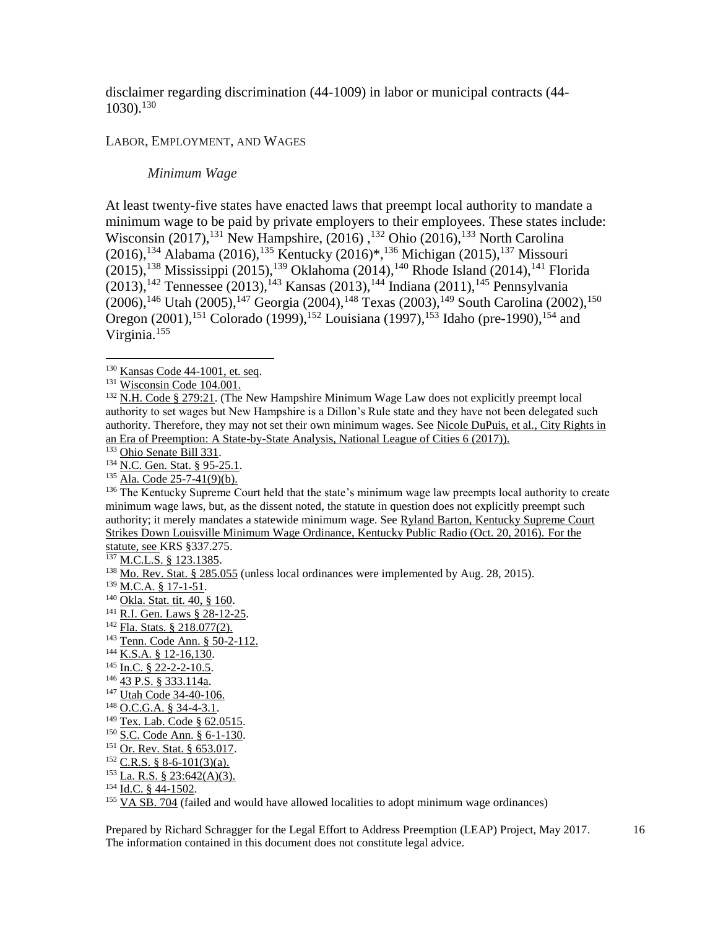disclaimer regarding discrimination (44-1009) in labor or municipal contracts (44-  $1030$ ).<sup>130</sup>

#### <span id="page-15-1"></span><span id="page-15-0"></span>LABOR, EMPLOYMENT, AND WAGES

#### *Minimum Wage*

At least twenty-five states have enacted laws that preempt local authority to mandate a minimum wage to be paid by private employers to their employees. These states include: Wisconsin (2017),<sup>131</sup> New Hampshire, (2016),<sup>132</sup> Ohio (2016),<sup>133</sup> North Carolina  $(2016)$ ,<sup>134</sup> Alabama (2016),<sup>135</sup> Kentucky (2016)\*,<sup>136</sup> Michigan (2015),<sup>137</sup> Missouri  $(2015)$ ,<sup>138</sup> Mississippi (2015),<sup>139</sup> Oklahoma (2014),<sup>140</sup> Rhode Island (2014),<sup>141</sup> Florida  $(2013)$ ,<sup>142</sup> Tennessee (2013),<sup>143</sup> Kansas (2013),<sup>144</sup> Indiana (2011),<sup>145</sup> Pennsylvania  $(2006),^{146}$  Utah  $(2005),^{147}$  Georgia  $(2004),^{148}$  Texas  $(2003),^{149}$  South Carolina  $(2002),^{150}$ Oregon (2001),<sup>151</sup> Colorado (1999),<sup>152</sup> Louisiana (1997),<sup>153</sup> Idaho (pre-1990),<sup>154</sup> and Virginia.<sup>155</sup>

l

- 146 [43 P.S. § 333.114a.](https://govt.westlaw.com/pac/Document/N6D5B0A00314C11DB9827E912ECF7EE18?viewType=FullText&originationContext=documenttoc&transitionType=CategoryPageItem&contextData=(sc.Default))
- <sup>147</sup> [Utah Code 34-40-106.](https://le.utah.gov/xcode/Title34/Chapter40/C34-40_1800010118000101.pdf)
- <sup>148</sup> [O.C.G.A. § 34-4-3.1.](http://www.legis.ga.gov/Legislation/20032004/2004SumDoc.pdf)
- <sup>149</sup> Tex. Lab. [Code § 62.0515.](http://www.statutes.legis.state.tx.us/Docs/LA/htm/LA.62.htm)
- <sup>150</sup> [S.C. Code Ann. § 6-1-130.](http://www.scstatehouse.gov/code/t06c001.php)

<sup>155</sup> [VA SB. 704](https://lis.virginia.gov/cgi-bin/legp604.exe?151+ful+SB704+pdf) (failed and would have allowed localities to adopt minimum wage ordinances)

<sup>130</sup> [Kansas Code 44-1001, et. seq.](http://kslegislature.org/li_2012/b2011_12/statute/044_000_0000_chapter/044_010_0000_article/044_010_0001_section/044_010_0001_k/)

<sup>131</sup> [Wisconsin Code 104.001.](https://docs.legis.wisconsin.gov/statutes/statutes/104)

<sup>&</sup>lt;sup>132</sup> [N.H. Code § 279:21.](http://www.gencourt.state.nh.us/rsa/html/XXIII/279/279-21.htm) (The New Hampshire Minimum Wage Law does not explicitly preempt local authority to set wages but New Hampshire is a Dillon's Rule state and they have not been delegated such authority. Therefore, they may not set their own minimum wages. See Nicole DuPuis, et al., City Rights in [an Era of Preemption: A State-by-State Analysis, National League of Cities 6 \(2017\)\).](http://nlc.org/sites/default/files/2017-02/NLC%20Preemption%20Report%202017.pdf)

<sup>&</sup>lt;sup>133</sup> [Ohio Senate Bill 331.](file:///C:/Users/User/Downloads/sb331_05_EN.pdf)

<sup>134</sup> [N.C. Gen. Stat. § 95-25.1.](http://www.ncleg.net/enactedlegislation/statutes/html/byarticle/chapter_95/article_2a.html)

 $135$  [Ala. Code 25-7-41\(9\)\(b\).](http://alisondb.legislature.state.al.us/alison/CodeOfAlabama/1975/Coatoc.htm)

<sup>&</sup>lt;sup>136</sup> The Kentucky Supreme Court held that the state's minimum wage law preempts local authority to create minimum wage laws, but, as the dissent noted, the statute in question does not explicitly preempt such authority; it merely mandates a statewide minimum wage. See Ryland Barton, [Kentucky Supreme Court](http://wfpl.org/kentucky-supreme-court-strikes-down-louisville-minimum-wage-ordinance/)  [Strikes Down Louisville Minimum Wage Ordinance, Kentucky Public Radio \(Oct. 20, 2016\).](http://wfpl.org/kentucky-supreme-court-strikes-down-louisville-minimum-wage-ordinance/) For the

statute, see KRS §337.275.

<sup>137</sup> [M.C.L.S. § 123.1385.](http://www.legislature.mi.gov/(S(rcktllyqln5zgnlx1a0sbxdl))/mileg.aspx?page=getObject&objectName=mcl-123-1385)

<sup>&</sup>lt;sup>138</sup> [Mo. Rev. Stat. § 285.055](http://www.moga.mo.gov/mostatutes/chapters/chapText285.html) (unless local ordinances were implemented by Aug. 28, 2015).

<sup>139</sup> [M.C.A. § 17-1-51.](https://law.resource.org/pub/us/code/ms/ms.scan/gov.law.ms.05.s.2014.pdf)

<sup>140</sup> [Okla. Stat. tit. 40, § 160.](http://law.justia.com/codes/oklahoma/2014/title-40)

<sup>141</sup> [R.I. Gen. Laws](http://webserver.rilin.state.ri.us/Statutes/title28/28-12/28-12-25.HTM) § 28-12-25.

<sup>142</sup> [Fla. Stats. § 218.077\(2\).](http://www.leg.state.fl.us/Statutes/index.cfm?App_mode=Display_Statute&Search_String=&URL=0200-0299/0218/Sections/0218.077.html)

<sup>143</sup> [Tenn. Code Ann. § 50-2-112.](https://www.lexisnexis.com/hottopics/tncode/)

<sup>&</sup>lt;sup>144</sup> [K.S.A. § 12-16,130.](http://www.ksrevisor.org/statutes/chapters/ch12/012_016_0130.html)

<sup>145</sup> [In.C. § 22-2-2-10.5.](http://statecodesfiles.justia.com/indiana/2014/title-22/article-2/chapter-2/chapter-2.pdf)

<sup>&</sup>lt;sup>151</sup> [Or. Rev. Stat. § 653.017.](https://www.oregonlaws.org/ors/653.017)

 $152$  [C.R.S. § 8-6-101\(3\)\(a\).](http://tornado.state.co.us/gov_dir/leg_dir/olls/2013TitlePrintouts/CRS%20Title%2008%20(2013).pdf)

<sup>153</sup> [La. R.S. § 23:642\(A\)\(3\).](http://legis.la.gov/legis/Law.aspx?d=83958)

<sup>154</sup> [Id.C. § 44-1502.](https://legislature.idaho.gov/statutesrules/idstat/title44/t44ch15/sect44-1502/)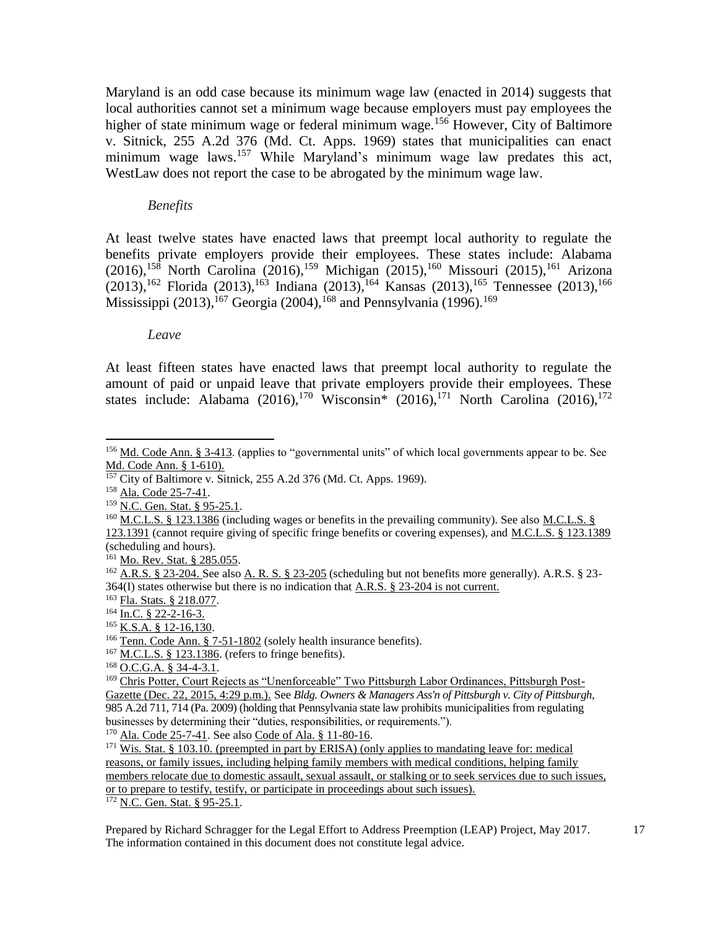Maryland is an odd case because its minimum wage law (enacted in 2014) suggests that local authorities cannot set a minimum wage because employers must pay employees the higher of state minimum wage or federal minimum wage.<sup>156</sup> However, City of Baltimore v. Sitnick, 255 A.2d 376 (Md. Ct. Apps. 1969) states that municipalities can enact minimum wage laws.<sup>157</sup> While Maryland's minimum wage law predates this act, WestLaw does not report the case to be abrogated by the minimum wage law.

#### *Benefits*

<span id="page-16-0"></span>At least twelve states have enacted laws that preempt local authority to regulate the benefits private employers provide their employees. These states include: Alabama  $(2016)$ ,<sup>158</sup> North Carolina (2016),<sup>159</sup> Michigan (2015),<sup>160</sup> Missouri (2015),<sup>161</sup> Arizona  $(2013),^{162}$  Florida  $(2013),^{163}$  Indiana  $(2013),^{164}$  Kansas  $(2013),^{165}$  Tennessee  $(2013),^{166}$ Mississippi (2013),<sup>167</sup> Georgia (2004),<sup>168</sup> and Pennsylvania (1996).<sup>169</sup>

#### *Leave*

<span id="page-16-1"></span>At least fifteen states have enacted laws that preempt local authority to regulate the amount of paid or unpaid leave that private employers provide their employees. These states include: Alabama (2016),<sup>170</sup> Wisconsin<sup>\*</sup> (2016),<sup>171</sup> North Carolina (2016),<sup>172</sup>

l

<sup>170</sup> [Ala. Code 25-7-41.](http://alisondb.legislature.state.al.us/alison/CodeOfAlabama/1975/Coatoc.htm) See also [Code of Ala. § 11-80-16.](http://alisondb.legislature.state.al.us/alison/codeofalabama/1975/coatoc.htm)

<sup>156</sup> Md. Code [Ann. § 3-413.](https://www.lexisnexis.com/hottopics/mdcode/) (applies to "governmental units" of which local governments appear to be. See [Md. Code Ann. § 1-610\).](https://www.lexisnexis.com/hottopics/mdcode/)

<sup>&</sup>lt;sup>157</sup> City of Baltimore v. Sitnick, 255 A.2d 376 (Md. Ct. Apps. 1969).

<sup>158</sup> [Ala. Code 25-7-41.](http://alisondb.legislature.state.al.us/alison/CodeOfAlabama/1975/Coatoc.htm)

<sup>159</sup> [N.C. Gen. Stat. § 95-25.1.](http://www.ncleg.net/enactedlegislation/statutes/html/byarticle/chapter_95/article_2a.html)

<sup>160</sup> [M.C.L.S. § 123.1386](http://www.legislature.mi.gov/(S(ghmhhxreitbaeuzjddfg5lny))/mileg.aspx?page=getObject&objectName=mcl-123-1386) (including wages or benefits in the prevailing community). See also [M.C.L.S. §](http://www.legislature.mi.gov/(S(5mwrxtlc3oqsl45k1idy12ci))/mileg.aspx?page=getObject&objectName=mcl-123-1391)  [123.1391](http://www.legislature.mi.gov/(S(5mwrxtlc3oqsl45k1idy12ci))/mileg.aspx?page=getObject&objectName=mcl-123-1391) (cannot require giving of specific fringe benefits or covering expenses), and [M.C.L.S. § 123.1389](https://www.legislature.mi.gov/(S(fvqd2kuol0pq5v13wmiskiqw))/mileg.aspx?page=getObject&objectName=mcl-123-1389) (scheduling and hours).

<sup>161</sup> [Mo. Rev. Stat. § 285.055.](http://www.moga.mo.gov/mostatutes/chapters/chapText285.html)

<sup>&</sup>lt;sup>162</sup> [A.R.S. § 23-204.](http://www.azleg.gov/ars/23/00204.htm) See also A.R.S. § 23-205 (scheduling but not benefits more generally). A.R.S. § 23-364(I) states otherwise but there is no indication that [A.R.S. § 23-204 is not current.](http://www.azleg.gov/ars/23/00204.htm)

<sup>&</sup>lt;sup>163</sup> [Fla. Stats. § 218.077.](http://www.leg.state.fl.us/Statutes/index.cfm?App_mode=Display_Statute&Search_String=&URL=0200-0299/0218/Sections/0218.077.html)

 $\frac{164}{\text{In.C.}}$  § 22-2-16-3.

 $165$  [K.S.A. § 12-16,130.](http://www.ksrevisor.org/statutes/chapters/ch12/012_016_0130.html)

<sup>&</sup>lt;sup>166</sup> [Tenn. Code Ann. § 7-51-1802](https://www.lexisnexis.com/hottopics/tncode/) (solely health insurance benefits).

<sup>167</sup> [M.C.L.S. § 123.1386.](http://www.legislature.mi.gov/(S(ghmhhxreitbaeuzjddfg5lny))/mileg.aspx?page=getObject&objectName=mcl-123-1386) (refers to fringe benefits).

<sup>168</sup> [O.C.G.A. § 34-4-3.1.](http://www.legis.ga.gov/Legislation/20032004/2004SumDoc.pdf)

<sup>&</sup>lt;sup>169</sup> [Chris Potter, Court Rejects as "Unenforceable" Two Pittsburgh Labor Ordinances, Pittsburgh Post-](http://www.post-gazette.com/local/city/2015/12/22/Allegheny-County-judge-strikes-down-city-sick-leave-ordinance/stories/201512220166/)[Gazette \(Dec. 22, 2015, 4:29 p.m.\).](http://www.post-gazette.com/local/city/2015/12/22/Allegheny-County-judge-strikes-down-city-sick-leave-ordinance/stories/201512220166/) See *Bldg. Owners & Managers Ass'n of Pittsburgh v. City of Pittsburgh*, 985 A.2d 711, 714 (Pa. 2009) (holding that Pennsylvania state law prohibits municipalities from regulating businesses by determining their "duties, responsibilities, or requirements.").

 $171$  [Wis. Stat. § 103.10.](https://docs.legis.wisconsin.gov/statutes/statutes/103/10) (preempted in part by ERISA) (only applies to mandating leave for: medical reasons, or family issues, including helping family members with medical conditions, helping family members relocate due to domestic assault, sexual assault, or stalking or to seek services due to such issues, or to prepare to testify, testify, or participate in proceedings about such issues).

<sup>&</sup>lt;sup>172</sup> [N.C. Gen. Stat. § 95-25.1.](http://www.ncleg.net/enactedlegislation/statutes/html/byarticle/chapter_95/article_2a.html)

Prepared by Richard Schragger for the Legal Effort to Address Preemption (LEAP) Project, May 2017. The information contained in this document does not constitute legal advice.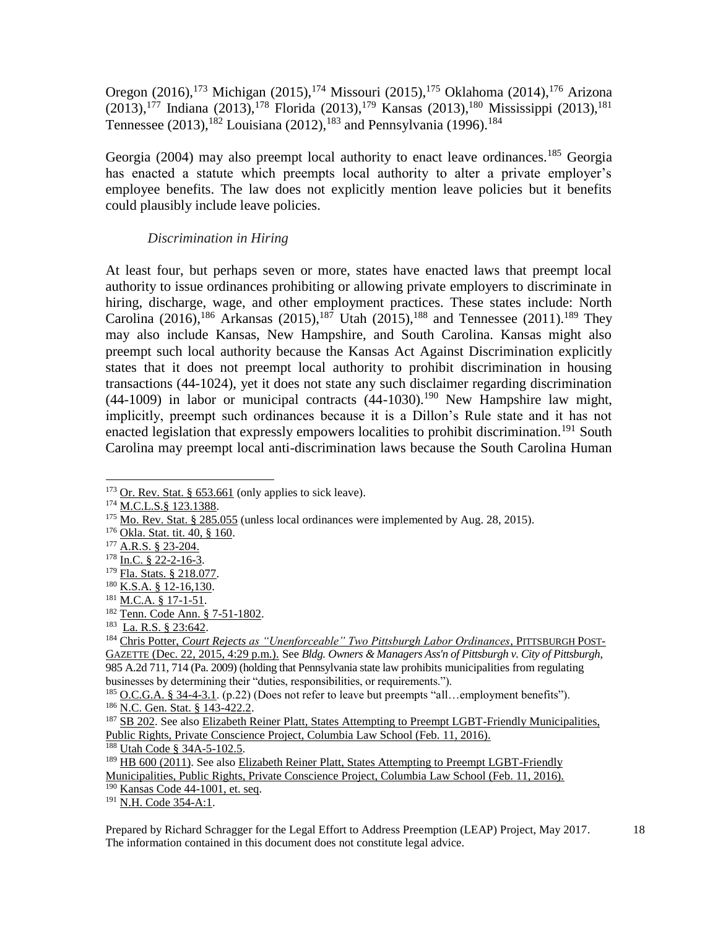Oregon (2016),<sup>173</sup> Michigan (2015),<sup>174</sup> Missouri (2015),<sup>175</sup> Oklahoma (2014),<sup>176</sup> Arizona  $(2013),^{177}$  Indiana  $(2013),^{178}$  Florida  $(2013),^{179}$  Kansas  $(2013),^{180}$  Mississippi  $(2013),^{181}$ Tennessee (2013),<sup>182</sup> Louisiana (2012),<sup>183</sup> and Pennsylvania (1996).<sup>184</sup>

Georgia (2004) may also preempt local authority to enact leave ordinances.<sup>185</sup> Georgia has enacted a statute which preempts local authority to alter a private employer's employee benefits. The law does not explicitly mention leave policies but it benefits could plausibly include leave policies.

# <span id="page-17-0"></span>*Discrimination in Hiring*

At least four, but perhaps seven or more, states have enacted laws that preempt local authority to issue ordinances prohibiting or allowing private employers to discriminate in hiring, discharge, wage, and other employment practices. These states include: North Carolina (2016),<sup>186</sup> Arkansas (2015),<sup>187</sup> Utah (2015),<sup>188</sup> and Tennessee (2011).<sup>189</sup> They may also include Kansas, New Hampshire, and South Carolina. Kansas might also preempt such local authority because the Kansas Act Against Discrimination explicitly states that it does not preempt local authority to prohibit discrimination in housing transactions (44-1024), yet it does not state any such disclaimer regarding discrimination  $(44-1009)$  in labor or municipal contracts  $(44-1030)$ .<sup>190</sup> New Hampshire law might, implicitly, preempt such ordinances because it is a Dillon's Rule state and it has not enacted legislation that expressly empowers localities to prohibit discrimination.<sup>191</sup> South Carolina may preempt local anti-discrimination laws because the South Carolina Human

l

 $173$  [Or. Rev. Stat. § 653.661](https://www.oregon.gov/boli/TA/SiteAssets/Lists/FeaturedContent/EditForm/2015%20ORS%20653.601%20to%20ORS%20653.661.pdf) (only applies to sick leave).

<sup>&</sup>lt;sup>174</sup> [M.C.L.S.§ 123.1388.](http://www.legislature.mi.gov/(S(5u230k3pfb5nuy5pderblhx2))/mileg.aspx?page=getObject&objectName=mcl-123-1388)

 $175$  [Mo. Rev. Stat. § 285.055](http://www.moga.mo.gov/mostatutes/chapters/chapText285.html) (unless local ordinances were implemented by Aug. 28, 2015).

<sup>176</sup> [Okla. Stat. tit. 40, § 160.](http://law.justia.com/codes/oklahoma/2014/title-40)

<sup>&</sup>lt;sup>177</sup> [A.R.S. § 23-204.](http://www.azleg.gov/ars/23/00204.htm)

<sup>178</sup> [In.C. § 22-2-16-3.](http://iga.in.gov/legislative/laws/2016/ic/titles/022/articles/002/)

<sup>&</sup>lt;sup>179</sup> [Fla. Stats. § 218.077.](http://www.leg.state.fl.us/Statutes/index.cfm?App_mode=Display_Statute&Search_String=&URL=0200-0299/0218/Sections/0218.077.html)

<sup>180</sup> [K.S.A. § 12-16,130.](http://www.ksrevisor.org/statutes/chapters/ch12/012_016_0130.html)

 $^{181}$  [M.C.A. § 17-1-51.](https://law.resource.org/pub/us/code/ms/ms.scan/gov.law.ms.05.s.2014.pdf)

<sup>&</sup>lt;sup>182</sup> [Tenn. Code Ann. § 7-51-1802.](https://www.lexisnexis.com/hottopics/tncode/)

<sup>&</sup>lt;sup>183</sup> [La. R.S. § 23:642.](http://legis.la.gov/legis/Law.aspx?d=83958)

<sup>&</sup>lt;sup>184</sup> Chris Potter, *[Court Rejects as "Unenforceable" Two Pittsburgh Labor Ordinances](http://www.post-gazette.com/local/city/2015/12/22/Allegheny-County-judge-strikes-down-city-sick-leave-ordinance/stories/201512220166/)*, PITTSBURGH POST-GAZETTE [\(Dec. 22, 2015, 4:29 p.m.\).](http://www.post-gazette.com/local/city/2015/12/22/Allegheny-County-judge-strikes-down-city-sick-leave-ordinance/stories/201512220166/) See *Bldg. Owners & Managers Ass'n of Pittsburgh v. City of Pittsburgh*, 985 A.2d 711, 714 (Pa. 2009) (holding that Pennsylvania state law prohibits municipalities from regulating businesses by determining their "duties, responsibilities, or requirements.").

<sup>&</sup>lt;sup>185</sup> [O.C.G.A. § 34-4-3.1.](http://www.legis.ga.gov/Legislation/20032004/2004SumDoc.pdf) (p.22) (Does not refer to leave but preempts "all...employment benefits"). <sup>186</sup> [N.C. Gen. Stat. § 143-422.2.](http://www.ncleg.net/gascripts/statutes/statutelookup.pl?statute=143)

<sup>&</sup>lt;sup>187</sup> [SB 202.](http://www.arkleg.state.ar.us/assembly/2015/2015R/Bills/SB202.pdf) See also Elizabeth Reiner Platt, States Attempting to Preempt LGBT-Friendly Municipalities, [Public Rights, Private Conscience Project, Columbia Law School \(Feb. 11, 2016\).](http://blogs.law.columbia.edu/publicrightsprivateconscience/2016/02/11/states-attempting-to-preempt-lgbt-friendly-municipalities/)

<sup>188</sup> [Utah Code § 34A-5-102.5.](http://le.utah.gov/xcode/Title34A/Chapter5/34A-5-S102.5.html?v=C34A-5-S102.5_2015051220150512)

<sup>&</sup>lt;sup>189</sup> [HB 600 \(2011\).](http://www.capitol.tn.gov/Bills/107/Bill/HB0600.pdf) See also Elizabeth Reiner Platt, States Attempting to Preempt LGBT-Friendly [Municipalities, Public Rights, Private Conscience Project, Columbia Law School \(Feb. 11, 2016\).](http://blogs.law.columbia.edu/publicrightsprivateconscience/2016/02/11/states-attempting-to-preempt-lgbt-friendly-municipalities/) <sup>190</sup> [Kansas Code 44-1001, et. seq.](http://kslegislature.org/li_2012/b2011_12/statute/044_000_0000_chapter/044_010_0000_article/044_010_0001_section/044_010_0001_k/)

<sup>191</sup> [N.H. Code 354-A:1.](http://gencourt.state.nh.us/rsa/html/XXXI/354-A/354-A-1.htm)

Prepared by Richard Schragger for the Legal Effort to Address Preemption (LEAP) Project, May 2017. The information contained in this document does not constitute legal advice.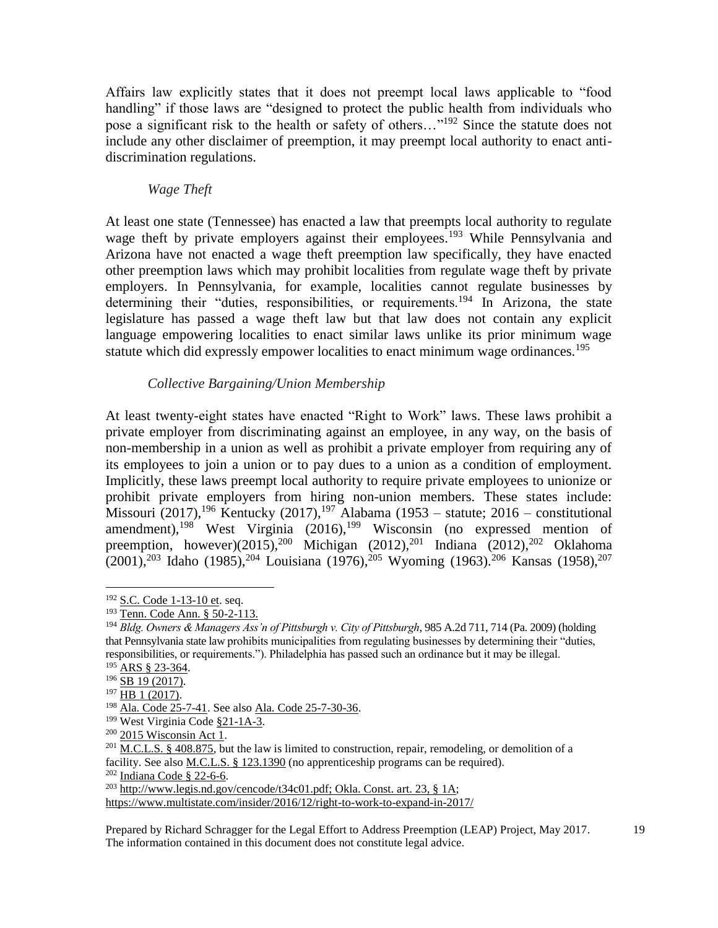Affairs law explicitly states that it does not preempt local laws applicable to "food handling" if those laws are "designed to protect the public health from individuals who pose a significant risk to the health or safety of others..."<sup>192</sup> Since the statute does not include any other disclaimer of preemption, it may preempt local authority to enact antidiscrimination regulations.

# *Wage Theft*

<span id="page-18-0"></span>At least one state (Tennessee) has enacted a law that preempts local authority to regulate wage theft by private employers against their employees.<sup>193</sup> While Pennsylvania and Arizona have not enacted a wage theft preemption law specifically, they have enacted other preemption laws which may prohibit localities from regulate wage theft by private employers. In Pennsylvania, for example, localities cannot regulate businesses by determining their "duties, responsibilities, or requirements.<sup>194</sup> In Arizona, the state legislature has passed a wage theft law but that law does not contain any explicit language empowering localities to enact similar laws unlike its prior minimum wage statute which did expressly empower localities to enact minimum wage ordinances.<sup>195</sup>

# *Collective Bargaining/Union Membership*

<span id="page-18-1"></span>At least twenty-eight states have enacted "Right to Work" laws. These laws prohibit a private employer from discriminating against an employee, in any way, on the basis of non-membership in a union as well as prohibit a private employer from requiring any of its employees to join a union or to pay dues to a union as a condition of employment. Implicitly, these laws preempt local authority to require private employees to unionize or prohibit private employers from hiring non-union members. These states include: Missouri (2017),<sup>196</sup> Kentucky (2017),<sup>197</sup> Alabama (1953 – statute; 2016 – constitutional amendment),<sup>198</sup> West Virginia  $(2016)$ ,<sup>199</sup> Wisconsin (no expressed mention of preemption, however)(2015),<sup>200</sup> Michigan (2012),<sup>201</sup> Indiana (2012),<sup>202</sup> Oklahoma  $(2001)$ ,<sup>203</sup> Idaho (1985),<sup>204</sup> Louisiana (1976),<sup>205</sup> Wyoming (1963).<sup>206</sup> Kansas (1958),<sup>207</sup>

<sup>195</sup> [ARS § 23-364.](http://www.azleg.gov/ars/23/00364.htm)

<sup>&</sup>lt;sup>192</sup> [S.C. Code 1-13-10](http://www.scstatehouse.gov/code/t01c013.php) et. seq.

<sup>193</sup> Tenn. Code [Ann. § 50-2-113.](https://www.lexisnexis.com/hottopics/tncode/)

<sup>194</sup> *Bldg. Owners & Managers Ass'n of Pittsburgh v. City of Pittsburgh*, 985 A.2d 711, 714 (Pa. 2009) (holding that Pennsylvania state law prohibits municipalities from regulating businesses by determining their "duties, responsibilities, or requirements."). Philadelphia has passed such an ordinance but it may be illegal.

 $196$  SB  $19$  (2017).

 $197 \overline{\text{HB}}$  1 (2017).

<sup>198</sup> [Ala. Code 25-7-41.](http://alisondb.legislature.state.al.us/alison/CodeOfAlabama/1975/Coatoc.htm) See also [Ala. Code 25-7-30-36.](http://alisondb.legislature.state.al.us/alison/codeofalabama/1975/coatoc.htm)

<sup>&</sup>lt;sup>199</sup> West Virginia Code [§21-1A-3.](http://www.legis.state.wv.us/WVCODE/Code.cfm?chap=21&art=1A#01A)

<sup>&</sup>lt;sup>200</sup> [2015 Wisconsin Act 1.](https://docs.legis.wisconsin.gov/2015/related/acts/1)

 $^{201}$  [M.C.L.S. § 408.875,](https://www.legislature.mi.gov/(S(0h2f5dmooivoe0sece5ubib4))/mileg.aspx?page=getObject&objectName=mcl-408-875) but the law is limited to construction, repair, remodeling, or demolition of a facility. See also [M.C.L.S. § 123.1390](http://www.legislature.mi.gov/(S(re2qxikjs0qkozcnwyoifou5))/mileg.aspx?page=getobject&objectName=mcl-123-1390) (no apprenticeship programs can be required).

<sup>202</sup> [Indiana Code § 22-6-6.](http://iga.in.gov/legislative/laws/2016/ic/titles/022/articles/006/)

<sup>&</sup>lt;sup>203</sup> [http://www.legis.nd.gov/cencode/t34c01.pdf;](http://www.legis.nd.gov/cencode/t34c01.pdf) [Okla. Const. art. 23, § 1A;](http://www.oklegislature.gov/ok_constitution.html)

<https://www.multistate.com/insider/2016/12/right-to-work-to-expand-in-2017/>

Prepared by Richard Schragger for the Legal Effort to Address Preemption (LEAP) Project, May 2017. The information contained in this document does not constitute legal advice.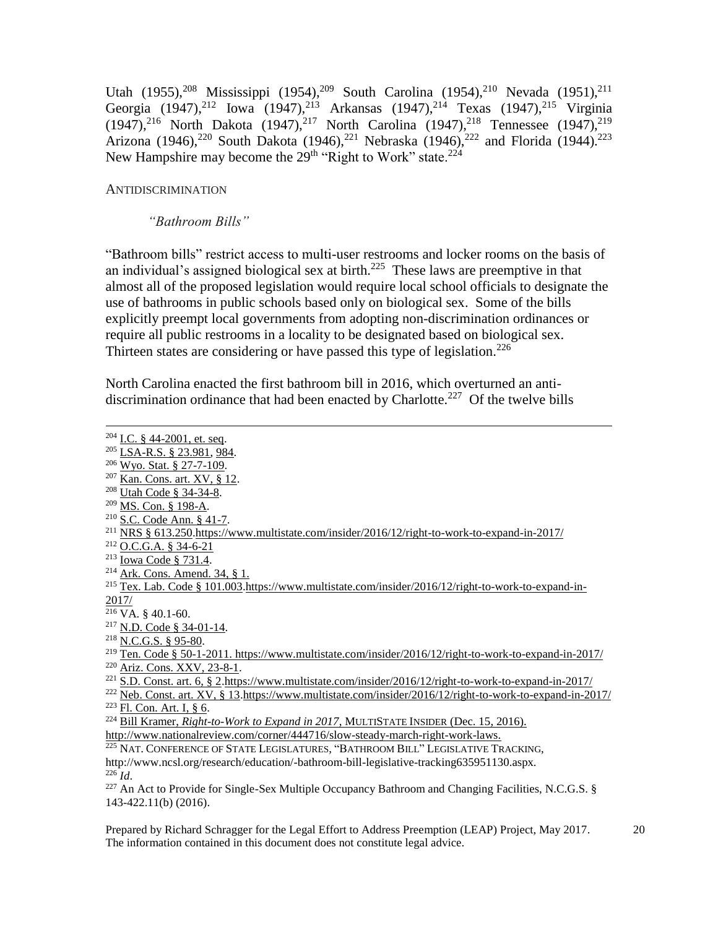Utah (1955),<sup>208</sup> Mississippi (1954),<sup>209</sup> South Carolina (1954),<sup>210</sup> Nevada (1951),<sup>211</sup> Georgia (1947),<sup>212</sup> Iowa (1947),<sup>213</sup> Arkansas (1947),<sup>214</sup> Texas (1947),<sup>215</sup> Virginia  $(1947),^{216}$  North Dakota  $(1947),^{217}$  North Carolina  $(1947),^{218}$  Tennessee  $(1947),^{219}$ Arizona (1946),<sup>220</sup> South Dakota (1946),<sup>221</sup> Nebraska (1946),<sup>222</sup> and Florida (1944).<sup>223</sup> New Hampshire may become the  $29<sup>th</sup>$  "Right to Work" state.<sup>224</sup>

### <span id="page-19-1"></span><span id="page-19-0"></span>ANTIDISCRIMINATION

### *"Bathroom Bills"*

"Bathroom bills" restrict access to multi-user restrooms and locker rooms on the basis of an individual's assigned biological sex at birth.<sup>225</sup> These laws are preemptive in that almost all of the proposed legislation would require local school officials to designate the use of bathrooms in public schools based only on biological sex. Some of the bills explicitly preempt local governments from adopting non-discrimination ordinances or require all public restrooms in a locality to be designated based on biological sex. Thirteen states are considering or have passed this type of legislation.<sup>226</sup>

North Carolina enacted the first bathroom bill in 2016, which overturned an antidiscrimination ordinance that had been enacted by Charlotte.<sup>227</sup> Of the twelve bills

Prepared by Richard Schragger for the Legal Effort to Address Preemption (LEAP) Project, May 2017. The information contained in this document does not constitute legal advice.

20

 $\overline{a}$ <sup>204</sup> [I.C. § 44-2001, et. seq.](https://legislature.idaho.gov/statutesrules/idstat/Title44/T44CH20/) <sup>205</sup> [LSA-R.S. § 23.981,](https://legis.la.gov/Legis/Law.aspx?d=84029) [984.](https://legis.la.gov/Legis/Law.aspx?d=84032) <sup>206</sup> [Wyo. Stat. § 27-7-109.](http://www.lexisnexis.com/hottopics/wystatutes/) 207 [Kan. Cons. art. XV, § 12.](https://kslib.info/841/Article-15-Miscellaneous) <sup>208</sup> [Utah Code § 34-34-8.](http://le.utah.gov/xcode/Title34/Chapter34/34-34-S8.html?v=C34-34-S8_1800010118000101) <sup>209</sup> [MS. Con. § 198-A.](https://www.sos.ms.gov/Education-Publications/Documents/Downloads/Mississippi_Constitution.pdf) <sup>210</sup> [S.C. Code Ann. § 41-7.](http://www.scstatehouse.gov/code/title41.php) <sup>211</sup> [NRS § 613.250](https://www.leg.state.nv.us/nrs/NRS-613.html#NRS613Sec250)[.https://www.multistate.com/insider/2016/12/right-to-work-to-expand-in-2017/](https://www.multistate.com/insider/2016/12/right-to-work-to-expand-in-2017/)  $212$  [O.C.G.A. § 34-6-21](http://www.lexisnexis.com/hottopics/gacode/Default.asp) <sup>213</sup> [Iowa Code § 731.4.](https://www.legis.iowa.gov/publications/search/document?fq=id:848817&pdid=804501&q=labor%20union#731.4) <sup>214</sup> [Ark. Cons. Amend. 34,](http://www.arkleg.state.ar.us/assembly/Summary/ArkansasConstitution1874.pdf) § 1. <sup>215</sup> [Tex. Lab. Code § 101.003](http://www.statutes.legis.state.tx.us/Docs/LA/htm/LA.101.htm#101.003)[.https://www.multistate.com/insider/2016/12/right-to-work-to-expand-in-](https://www.multistate.com/insider/2016/12/right-to-work-to-expand-in-2017/)[2017/](https://www.multistate.com/insider/2016/12/right-to-work-to-expand-in-2017/)  $216$  VA. § 40.1-60. <sup>217</sup> [N.D. Code § 34-01-14.](http://www.legis.nd.gov/cencode/t34c01.pdf) <sup>218</sup> [N.C.G.S. § 95-80.](http://www.ncleg.net/EnactedLegislation/Statutes/PDF/BySection/Chapter_95/GS_95-80.pdf) <sup>219</sup> [Ten. Code § 50-1-2011. https://www.multistate.com/insider/2016/12/right-to-work-to-expand-in-2017/](https://www.lexisnexis.com/hottopics/tncode/) <sup>220</sup> [Ariz. Cons. XXV, 23-8-1.](http://www.nrtw.org/right-to-work-laws-arizona) <sup>221</sup> [S.D. Const. art. 6, § 2](http://sdlegislature.gov/Statutes/Constitution/DisplayStatute.aspx?Type=Statute&Statute=0N-6-2)[.https://www.multistate.com/insider/2016/12/right-to-work-to-expand-in-2017/](https://www.multistate.com/insider/2016/12/right-to-work-to-expand-in-2017/) <sup>222</sup> [Neb. Const. art. XV, § 13](http://nebraskalegislature.gov/laws/articles.php?article=XV-13)[.https://www.multistate.com/insider/2016/12/right-to-work-to-expand-in-2017/](https://www.multistate.com/insider/2016/12/right-to-work-to-expand-in-2017/) <sup>223</sup> [Fl. Con. Art. I, § 6.](http://www.leg.state.fl.us/Statutes/index.cfm?Mode=Constitution&Submenu=3&Tab=statutes&CFID=127219551&CFTOKEN=46c7521016612347-3ABC6208-0B1B-A0A2-26173BFA3CD250C7) <sup>224</sup> Bill Kramer, *[Right-to-Work to Expand in 2017](https://www.multistate.com/insider/2016/12/right-to-work-to-expand-in-2017/)*, MULTISTATE INSIDER (Dec. 15, 2016). <http://www.nationalreview.com/corner/444716/slow-steady-march-right-work-laws.> <sup>225</sup> NAT. CONFERENCE OF STATE LEGISLATURES, "BATHROOM BILL" LEGISLATIVE TRACKING, http://www.ncsl.org/research/education/-bathroom-bill-legislative-tracking635951130.aspx.  $226$  *Id.* <sup>227</sup> An Act to Provide for Single-Sex Multiple Occupancy Bathroom and Changing Facilities, N.C.G.S. § 143-422.11(b) (2016).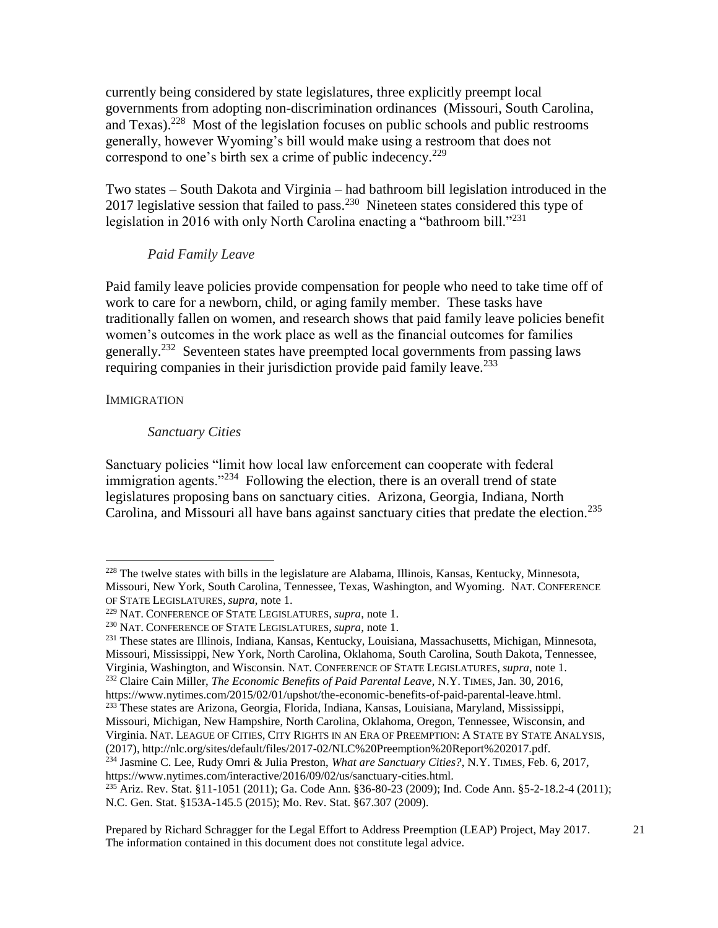currently being considered by state legislatures, three explicitly preempt local governments from adopting non-discrimination ordinances (Missouri, South Carolina, and Texas).<sup>228</sup> Most of the legislation focuses on public schools and public restrooms generally, however Wyoming's bill would make using a restroom that does not correspond to one's birth sex a crime of public indecency.<sup>229</sup>

Two states – South Dakota and Virginia – had bathroom bill legislation introduced in the 2017 legislative session that failed to pass.<sup>230</sup> Nineteen states considered this type of legislation in 2016 with only North Carolina enacting a "bathroom bill."<sup>231</sup>

### *Paid Family Leave*

<span id="page-20-0"></span>Paid family leave policies provide compensation for people who need to take time off of work to care for a newborn, child, or aging family member. These tasks have traditionally fallen on women, and research shows that paid family leave policies benefit women's outcomes in the work place as well as the financial outcomes for families generally.<sup>232</sup> Seventeen states have preempted local governments from passing laws requiring companies in their jurisdiction provide paid family leave.<sup>233</sup>

### <span id="page-20-2"></span><span id="page-20-1"></span>IMMIGRATION

l

## *Sanctuary Cities*

Sanctuary policies "limit how local law enforcement can cooperate with federal immigration agents."<sup>234</sup> Following the election, there is an overall trend of state legislatures proposing bans on sanctuary cities. Arizona, Georgia, Indiana, North Carolina, and Missouri all have bans against sanctuary cities that predate the election.<sup>235</sup>

<sup>231</sup> These states are Illinois, Indiana, Kansas, Kentucky, Louisiana, Massachusetts, Michigan, Minnesota, Missouri, Mississippi, New York, North Carolina, Oklahoma, South Carolina, South Dakota, Tennessee, Virginia, Washington, and Wisconsin. NAT. CONFERENCE OF STATE LEGISLATURES, *supra*, note 1.

<sup>232</sup> Claire Cain Miller, *The Economic Benefits of Paid Parental Leave*, N.Y. TIMES, Jan. 30, 2016, https://www.nytimes.com/2015/02/01/upshot/the-economic-benefits-of-paid-parental-leave.html.

Missouri, Michigan, New Hampshire, North Carolina, Oklahoma, Oregon, Tennessee, Wisconsin, and

Virginia. NAT. LEAGUE OF CITIES, CITY RIGHTS IN AN ERA OF PREEMPTION: A STATE BY STATE ANALYSIS, (2017), http://nlc.org/sites/default/files/2017-02/NLC%20Preemption%20Report%202017.pdf.

<sup>234</sup> Jasmine C. Lee, Rudy Omri & Julia Preston, *What are Sanctuary Cities?*, N.Y. TIMES, Feb. 6, 2017, https://www.nytimes.com/interactive/2016/09/02/us/sanctuary-cities.html.

 $228$  The twelve states with bills in the legislature are Alabama, Illinois, Kansas, Kentucky, Minnesota, Missouri, New York, South Carolina, Tennessee, Texas, Washington, and Wyoming. NAT. CONFERENCE OF STATE LEGISLATURES, *supra*, note 1.

<sup>229</sup> NAT. CONFERENCE OF STATE LEGISLATURES, *supra*, note 1.

<sup>230</sup> NAT. CONFERENCE OF STATE LEGISLATURES, *supra*, note 1.

<sup>233</sup> These states are Arizona, Georgia, Florida, Indiana, Kansas, Louisiana, Maryland, Mississippi,

<sup>235</sup> Ariz. Rev. Stat. §11-1051 (2011); Ga. Code Ann. §36-80-23 (2009); Ind. Code Ann. §5-2-18.2-4 (2011); N.C. Gen. Stat. §153A-145.5 (2015); Mo. Rev. Stat. §67.307 (2009).

Prepared by Richard Schragger for the Legal Effort to Address Preemption (LEAP) Project, May 2017. The information contained in this document does not constitute legal advice.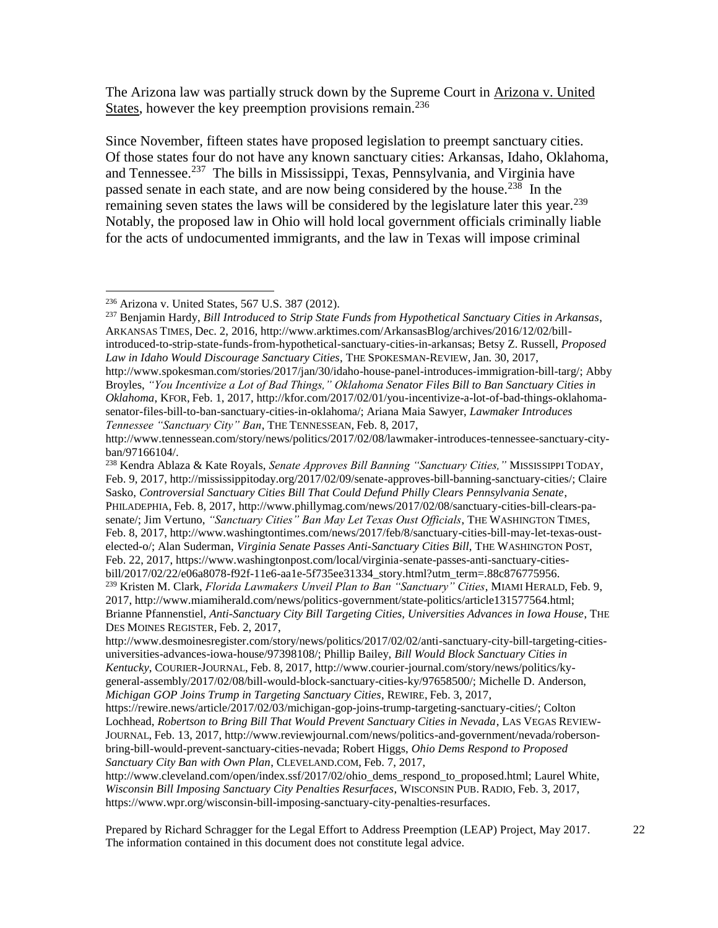The Arizona law was partially struck down by the Supreme Court in Arizona v. United States, however the key preemption provisions remain.<sup>236</sup>

Since November, fifteen states have proposed legislation to preempt sanctuary cities. Of those states four do not have any known sanctuary cities: Arkansas, Idaho, Oklahoma, and Tennessee.<sup>237</sup> The bills in Mississippi, Texas, Pennsylvania, and Virginia have passed senate in each state, and are now being considered by the house.<sup>238</sup> In the remaining seven states the laws will be considered by the legislature later this year.<sup>239</sup> Notably, the proposed law in Ohio will hold local government officials criminally liable for the acts of undocumented immigrants, and the law in Texas will impose criminal

<sup>&</sup>lt;sup>236</sup> Arizona v. United States, 567 U.S. 387 (2012).

<sup>237</sup> Benjamin Hardy, *Bill Introduced to Strip State Funds from Hypothetical Sanctuary Cities in Arkansas*, ARKANSAS TIMES, Dec. 2, 2016, http://www.arktimes.com/ArkansasBlog/archives/2016/12/02/billintroduced-to-strip-state-funds-from-hypothetical-sanctuary-cities-in-arkansas; Betsy Z. Russell, *Proposed Law in Idaho Would Discourage Sanctuary Cities*, THE SPOKESMAN-REVIEW, Jan. 30, 2017,

http://www.spokesman.com/stories/2017/jan/30/idaho-house-panel-introduces-immigration-bill-targ/; Abby Broyles, *"You Incentivize a Lot of Bad Things," Oklahoma Senator Files Bill to Ban Sanctuary Cities in Oklahoma*, KFOR, Feb. 1, 2017, http://kfor.com/2017/02/01/you-incentivize-a-lot-of-bad-things-oklahomasenator-files-bill-to-ban-sanctuary-cities-in-oklahoma/; Ariana Maia Sawyer, *Lawmaker Introduces Tennessee "Sanctuary City" Ban*, THE TENNESSEAN, Feb. 8, 2017,

http://www.tennessean.com/story/news/politics/2017/02/08/lawmaker-introduces-tennessee-sanctuary-cityban/97166104/.

<sup>238</sup> Kendra Ablaza & Kate Royals, *Senate Approves Bill Banning "Sanctuary Cities,"* MISSISSIPPI TODAY, Feb. 9, 2017, http://mississippitoday.org/2017/02/09/senate-approves-bill-banning-sanctuary-cities/; Claire Sasko, *Controversial Sanctuary Cities Bill That Could Defund Philly Clears Pennsylvania Senate*, PHILADEPHIA, Feb. 8, 2017, http://www.phillymag.com/news/2017/02/08/sanctuary-cities-bill-clears-pasenate/; Jim Vertuno, *"Sanctuary Cities" Ban May Let Texas Oust Officials*, THE WASHINGTON TIMES, Feb. 8, 2017, http://www.washingtontimes.com/news/2017/feb/8/sanctuary-cities-bill-may-let-texas-oustelected-o/; Alan Suderman, *Virginia Senate Passes Anti-Sanctuary Cities Bill*, THE WASHINGTON POST, Feb. 22, 2017, https://www.washingtonpost.com/local/virginia-senate-passes-anti-sanctuary-citiesbill/2017/02/22/e06a8078-f92f-11e6-aa1e-5f735ee31334\_story.html?utm\_term=.88c876775956. <sup>239</sup> Kristen M. Clark, *Florida Lawmakers Unveil Plan to Ban "Sanctuary" Cities*, MIAMI HERALD, Feb. 9, 2017, http://www.miamiherald.com/news/politics-government/state-politics/article131577564.html; Brianne Pfannenstiel, *Anti-Sanctuary City Bill Targeting Cities, Universities Advances in Iowa House*, THE DES MOINES REGISTER, Feb. 2, 2017,

http://www.desmoinesregister.com/story/news/politics/2017/02/02/anti-sanctuary-city-bill-targeting-citiesuniversities-advances-iowa-house/97398108/; Phillip Bailey, *Bill Would Block Sanctuary Cities in Kentucky*, COURIER-JOURNAL, Feb. 8, 2017, http://www.courier-journal.com/story/news/politics/kygeneral-assembly/2017/02/08/bill-would-block-sanctuary-cities-ky/97658500/; Michelle D. Anderson, *Michigan GOP Joins Trump in Targeting Sanctuary Cities*, REWIRE, Feb. 3, 2017,

https://rewire.news/article/2017/02/03/michigan-gop-joins-trump-targeting-sanctuary-cities/; Colton Lochhead, *Robertson to Bring Bill That Would Prevent Sanctuary Cities in Nevada*, LAS VEGAS REVIEW-JOURNAL, Feb. 13, 2017, http://www.reviewjournal.com/news/politics-and-government/nevada/robersonbring-bill-would-prevent-sanctuary-cities-nevada; Robert Higgs, *Ohio Dems Respond to Proposed Sanctuary City Ban with Own Plan*, CLEVELAND.COM, Feb. 7, 2017,

http://www.cleveland.com/open/index.ssf/2017/02/ohio\_dems\_respond\_to\_proposed.html; Laurel White, *Wisconsin Bill Imposing Sanctuary City Penalties Resurfaces*, WISCONSIN PUB. RADIO, Feb. 3, 2017, https://www.wpr.org/wisconsin-bill-imposing-sanctuary-city-penalties-resurfaces.

Prepared by Richard Schragger for the Legal Effort to Address Preemption (LEAP) Project, May 2017. The information contained in this document does not constitute legal advice.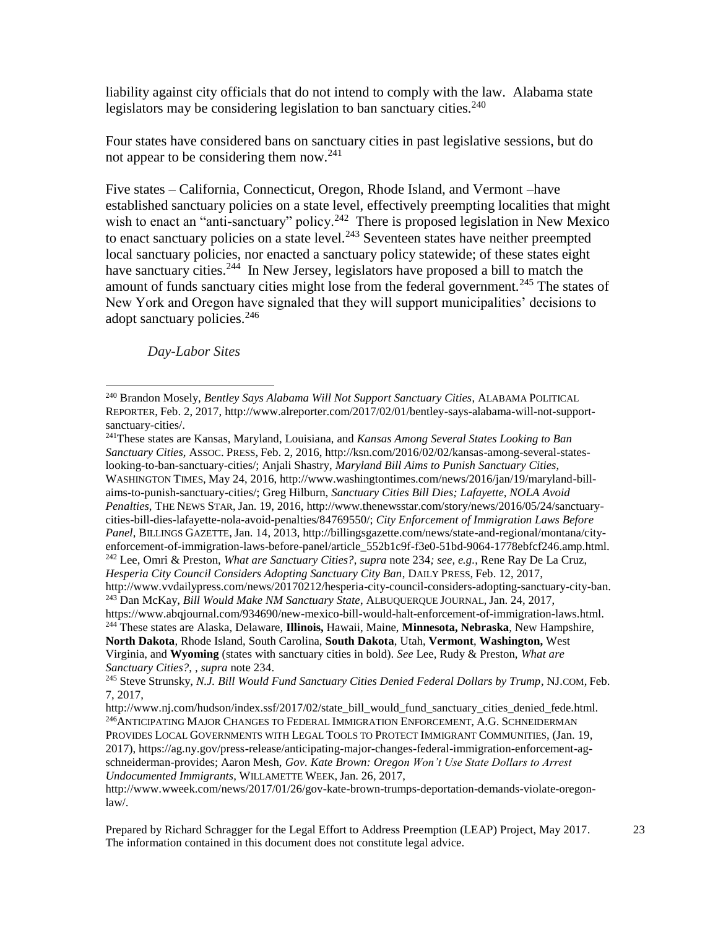liability against city officials that do not intend to comply with the law. Alabama state legislators may be considering legislation to ban sanctuary cities.<sup>240</sup>

Four states have considered bans on sanctuary cities in past legislative sessions, but do not appear to be considering them now.<sup>241</sup>

Five states – California, Connecticut, Oregon, Rhode Island, and Vermont –have established sanctuary policies on a state level, effectively preempting localities that might wish to enact an "anti-sanctuary" policy.<sup>242</sup> There is proposed legislation in New Mexico to enact sanctuary policies on a state level. $243$  Seventeen states have neither preempted local sanctuary policies, nor enacted a sanctuary policy statewide; of these states eight have sanctuary cities.<sup>244</sup> In New Jersey, legislators have proposed a bill to match the amount of funds sanctuary cities might lose from the federal government.<sup>245</sup> The states of New York and Oregon have signaled that they will support municipalities' decisions to adopt sanctuary policies.<sup>246</sup>

<span id="page-22-0"></span>*Day-Labor Sites*

<sup>240</sup> Brandon Mosely, *Bentley Says Alabama Will Not Support Sanctuary Cities*, ALABAMA POLITICAL REPORTER, Feb. 2, 2017, http://www.alreporter.com/2017/02/01/bentley-says-alabama-will-not-supportsanctuary-cities/.

<sup>241</sup>These states are Kansas, Maryland, Louisiana, and *Kansas Among Several States Looking to Ban Sanctuary Cities*, ASSOC. PRESS, Feb. 2, 2016, http://ksn.com/2016/02/02/kansas-among-several-stateslooking-to-ban-sanctuary-cities/; Anjali Shastry, *Maryland Bill Aims to Punish Sanctuary Cities*, WASHINGTON TIMES, May 24, 2016, http://www.washingtontimes.com/news/2016/jan/19/maryland-billaims-to-punish-sanctuary-cities/; Greg Hilburn, *Sanctuary Cities Bill Dies; Lafayette, NOLA Avoid Penalties*, THE NEWS STAR, Jan. 19, 2016, http://www.thenewsstar.com/story/news/2016/05/24/sanctuarycities-bill-dies-lafayette-nola-avoid-penalties/84769550/; *City Enforcement of Immigration Laws Before Panel*, BILLINGS GAZETTE, Jan. 14, 2013, http://billingsgazette.com/news/state-and-regional/montana/cityenforcement-of-immigration-laws-before-panel/article\_552b1c9f-f3e0-51bd-9064-1778ebfcf246.amp.html. <sup>242</sup> Lee, Omri & Preston, *What are Sanctuary Cities?*, *supra* note 234*; see, e.g.*, Rene Ray De La Cruz,

*Hesperia City Council Considers Adopting Sanctuary City Ban*, DAILY PRESS, Feb. 12, 2017, http://www.vvdailypress.com/news/20170212/hesperia-city-council-considers-adopting-sanctuary-city-ban. <sup>243</sup> Dan McKay, *Bill Would Make NM Sanctuary State*, ALBUQUERQUE JOURNAL, Jan. 24, 2017,

https://www.abqjournal.com/934690/new-mexico-bill-would-halt-enforcement-of-immigration-laws.html. <sup>244</sup> These states are Alaska, Delaware, **Illinois,** Hawaii, Maine, **Minnesota, Nebraska**, New Hampshire, **North Dakota**, Rhode Island, South Carolina, **South Dakota**, Utah, **Vermont**, **Washington,** West

Virginia, and **Wyoming** (states with sanctuary cities in bold). *See* Lee, Rudy & Preston, *What are Sanctuary Cities?*, , *supra* note 234.

<sup>245</sup> Steve Strunsky, *N.J. Bill Would Fund Sanctuary Cities Denied Federal Dollars by Trump*, NJ.COM, Feb. 7, 2017,

http://www.nj.com/hudson/index.ssf/2017/02/state\_bill\_would\_fund\_sanctuary\_cities\_denied\_fede.html. <sup>246</sup>ANTICIPATING MAJOR CHANGES TO FEDERAL IMMIGRATION ENFORCEMENT, A.G. SCHNEIDERMAN PROVIDES LOCAL GOVERNMENTS WITH LEGAL TOOLS TO PROTECT IMMIGRANT COMMUNITIES, (Jan. 19, 2017), https://ag.ny.gov/press-release/anticipating-major-changes-federal-immigration-enforcement-agschneiderman-provides; Aaron Mesh, *Gov. Kate Brown: Oregon Won't Use State Dollars to Arrest Undocumented Immigrants*, WILLAMETTE WEEK, Jan. 26, 2017,

http://www.wweek.com/news/2017/01/26/gov-kate-brown-trumps-deportation-demands-violate-oregonlaw/.

Prepared by Richard Schragger for the Legal Effort to Address Preemption (LEAP) Project, May 2017. The information contained in this document does not constitute legal advice.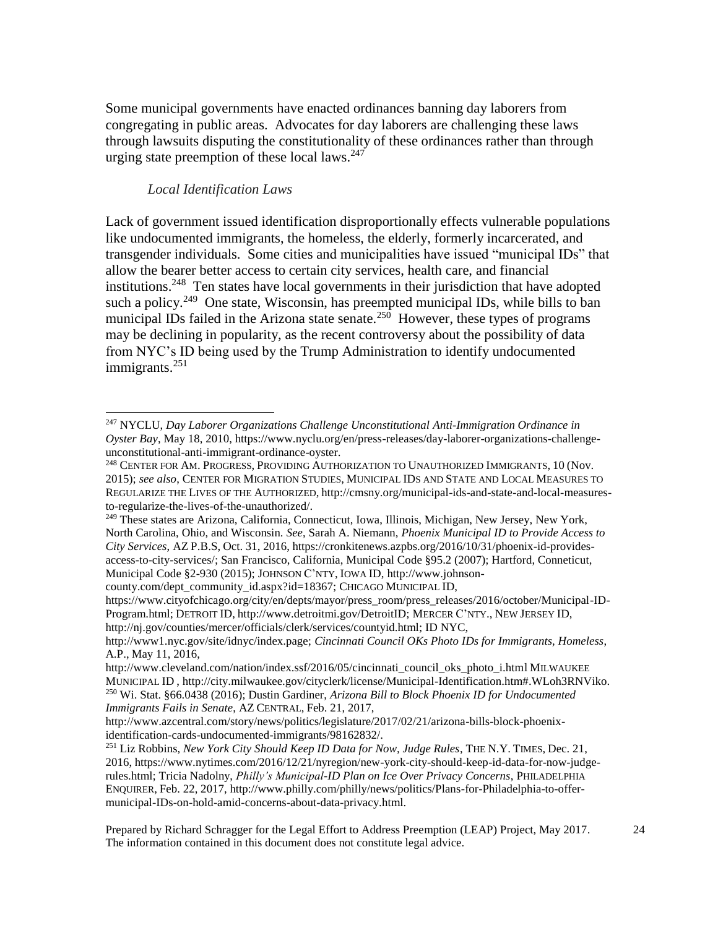Some municipal governments have enacted ordinances banning day laborers from congregating in public areas. Advocates for day laborers are challenging these laws through lawsuits disputing the constitutionality of these ordinances rather than through urging state preemption of these local laws.<sup>247</sup>

### *Local Identification Laws*

 $\overline{a}$ 

<span id="page-23-0"></span>Lack of government issued identification disproportionally effects vulnerable populations like undocumented immigrants, the homeless, the elderly, formerly incarcerated, and transgender individuals. Some cities and municipalities have issued "municipal IDs" that allow the bearer better access to certain city services, health care, and financial institutions.<sup>248</sup> Ten states have local governments in their jurisdiction that have adopted such a policy.<sup>249</sup> One state, Wisconsin, has preempted municipal IDs, while bills to ban municipal IDs failed in the Arizona state senate.<sup>250</sup> However, these types of programs may be declining in popularity, as the recent controversy about the possibility of data from NYC's ID being used by the Trump Administration to identify undocumented immigrants. $^{251}$ 

<sup>247</sup> NYCLU, *Day Laborer Organizations Challenge Unconstitutional Anti-Immigration Ordinance in Oyster Bay*, May 18, 2010, https://www.nyclu.org/en/press-releases/day-laborer-organizations-challengeunconstitutional-anti-immigrant-ordinance-oyster.

<sup>&</sup>lt;sup>248</sup> CENTER FOR AM. PROGRESS, PROVIDING AUTHORIZATION TO UNAUTHORIZED IMMIGRANTS, 10 (Nov. 2015); *see also*, CENTER FOR MIGRATION STUDIES, MUNICIPAL IDS AND STATE AND LOCAL MEASURES TO REGULARIZE THE LIVES OF THE AUTHORIZED, http://cmsny.org/municipal-ids-and-state-and-local-measuresto-regularize-the-lives-of-the-unauthorized/.

<sup>249</sup> These states are Arizona, California, Connecticut, Iowa, Illinois, Michigan, New Jersey, New York, North Carolina, Ohio, and Wisconsin. *See*, Sarah A. Niemann, *Phoenix Municipal ID to Provide Access to City Services*, AZ P.B.S, Oct. 31, 2016, https://cronkitenews.azpbs.org/2016/10/31/phoenix-id-providesaccess-to-city-services/; San Francisco, California, Municipal Code §95.2 (2007); Hartford, Conneticut, Municipal Code §2-930 (2015); JOHNSON C'NTY, IOWA ID, http://www.johnson-

county.com/dept\_community\_id.aspx?id=18367; CHICAGO MUNICIPAL ID,

https://www.cityofchicago.org/city/en/depts/mayor/press\_room/press\_releases/2016/october/Municipal-ID-Program.html; DETROIT ID, http://www.detroitmi.gov/DetroitID; MERCER C'NTY., NEW JERSEY ID, http://nj.gov/counties/mercer/officials/clerk/services/countyid.html; ID NYC,

http://www1.nyc.gov/site/idnyc/index.page; *Cincinnati Council OKs Photo IDs for Immigrants, Homeless*, A.P., May 11, 2016,

http://www.cleveland.com/nation/index.ssf/2016/05/cincinnati\_council\_oks\_photo\_i.html MILWAUKEE MUNICIPAL ID , http://city.milwaukee.gov/cityclerk/license/Municipal-Identification.htm#.WLoh3RNViko. <sup>250</sup> Wi. Stat. §66.0438 (2016); Dustin Gardiner, *Arizona Bill to Block Phoenix ID for Undocumented Immigrants Fails in Senate*, AZ CENTRAL, Feb. 21, 2017,

http://www.azcentral.com/story/news/politics/legislature/2017/02/21/arizona-bills-block-phoenixidentification-cards-undocumented-immigrants/98162832/.

<sup>251</sup> Liz Robbins, *New York City Should Keep ID Data for Now, Judge Rules*, THE N.Y. TIMES, Dec. 21, 2016, https://www.nytimes.com/2016/12/21/nyregion/new-york-city-should-keep-id-data-for-now-judgerules.html; Tricia Nadolny, *Philly's Municipal-ID Plan on Ice Over Privacy Concerns*, PHILADELPHIA ENQUIRER, Feb. 22, 2017, http://www.philly.com/philly/news/politics/Plans-for-Philadelphia-to-offermunicipal-IDs-on-hold-amid-concerns-about-data-privacy.html.

Prepared by Richard Schragger for the Legal Effort to Address Preemption (LEAP) Project, May 2017. The information contained in this document does not constitute legal advice.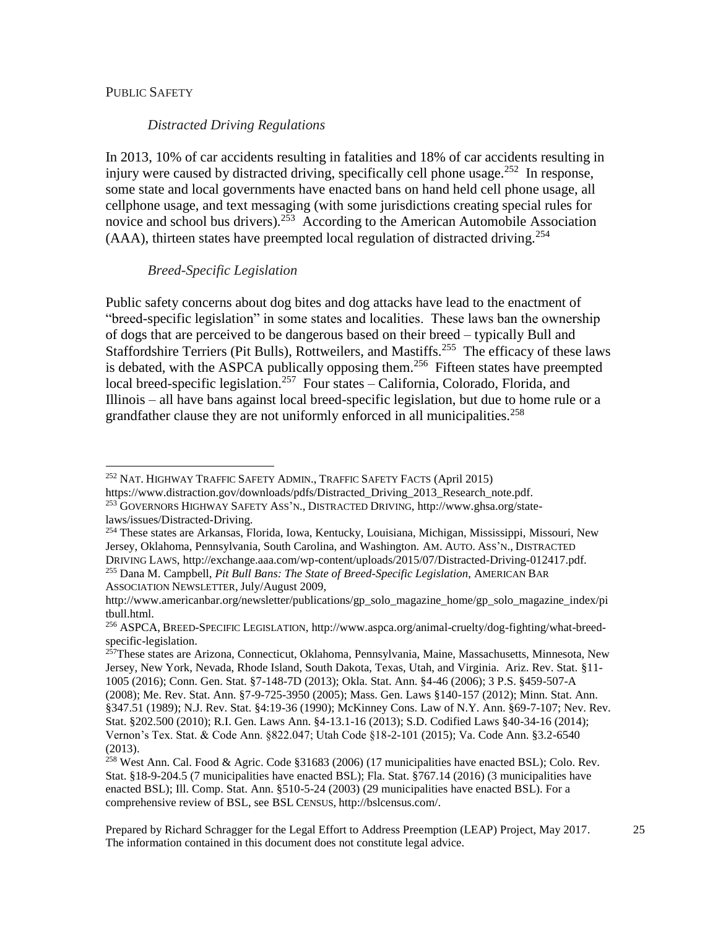### <span id="page-24-1"></span><span id="page-24-0"></span>PUBLIC SAFETY

#### *Distracted Driving Regulations*

In 2013, 10% of car accidents resulting in fatalities and 18% of car accidents resulting in injury were caused by distracted driving, specifically cell phone usage.<sup>252</sup> In response, some state and local governments have enacted bans on hand held cell phone usage, all cellphone usage, and text messaging (with some jurisdictions creating special rules for novice and school bus drivers).<sup>253</sup> According to the American Automobile Association (AAA), thirteen states have preempted local regulation of distracted driving.<sup>254</sup>

#### *Breed-Specific Legislation*

<span id="page-24-2"></span>Public safety concerns about dog bites and dog attacks have lead to the enactment of "breed-specific legislation" in some states and localities. These laws ban the ownership of dogs that are perceived to be dangerous based on their breed – typically Bull and Staffordshire Terriers (Pit Bulls), Rottweilers, and Mastiffs.<sup>255</sup> The efficacy of these laws is debated, with the ASPCA publically opposing them.<sup>256</sup> Fifteen states have preempted local breed-specific legislation.<sup>257</sup> Four states – California, Colorado, Florida, and Illinois – all have bans against local breed-specific legislation, but due to home rule or a grandfather clause they are not uniformly enforced in all municipalities.<sup>258</sup>

laws/issues/Distracted-Driving.

<sup>252</sup> NAT. HIGHWAY TRAFFIC SAFETY ADMIN., TRAFFIC SAFETY FACTS (April 2015) https://www.distraction.gov/downloads/pdfs/Distracted\_Driving\_2013\_Research\_note.pdf. <sup>253</sup> GOVERNORS HIGHWAY SAFETY ASS'N., DISTRACTED DRIVING, http://www.ghsa.org/state-

<sup>254</sup> These states are Arkansas, Florida, Iowa, Kentucky, Louisiana, Michigan, Mississippi, Missouri, New Jersey, Oklahoma, Pennsylvania, South Carolina, and Washington. AM. AUTO. ASS'N., DISTRACTED DRIVING LAWS, http://exchange.aaa.com/wp-content/uploads/2015/07/Distracted-Driving-012417.pdf. <sup>255</sup> Dana M. Campbell, *Pit Bull Bans: The State of Breed-Specific Legislation*, AMERICAN BAR

ASSOCIATION NEWSLETTER, July/August 2009,

http://www.americanbar.org/newsletter/publications/gp\_solo\_magazine\_home/gp\_solo\_magazine\_index/pi tbull.html.

<sup>256</sup> ASPCA, BREED-SPECIFIC LEGISLATION, http://www.aspca.org/animal-cruelty/dog-fighting/what-breedspecific-legislation.

<sup>&</sup>lt;sup>257</sup>These states are Arizona, Connecticut, Oklahoma, Pennsylvania, Maine, Massachusetts, Minnesota, New Jersey, New York, Nevada, Rhode Island, South Dakota, Texas, Utah, and Virginia. Ariz. Rev. Stat. §11- 1005 (2016); Conn. Gen. Stat. §7-148-7D (2013); Okla. Stat. Ann. §4-46 (2006); 3 P.S. §459-507-A (2008); Me. Rev. Stat. Ann. §7-9-725-3950 (2005); Mass. Gen. Laws §140-157 (2012); Minn. Stat. Ann. §347.51 (1989); N.J. Rev. Stat. §4:19-36 (1990); McKinney Cons. Law of N.Y. Ann. §69-7-107; Nev. Rev. Stat. §202.500 (2010); R.I. Gen. Laws Ann. §4-13.1-16 (2013); S.D. Codified Laws §40-34-16 (2014); Vernon's Tex. Stat. & Code Ann. §822.047; Utah Code §18-2-101 (2015); Va. Code Ann. §3.2-6540 (2013).

<sup>258</sup> West Ann. Cal. Food & Agric. Code §31683 (2006) (17 municipalities have enacted BSL); Colo. Rev. Stat. §18-9-204.5 (7 municipalities have enacted BSL); Fla. Stat. §767.14 (2016) (3 municipalities have enacted BSL); Ill. Comp. Stat. Ann. §510-5-24 (2003) (29 municipalities have enacted BSL). For a comprehensive review of BSL, see BSL CENSUS, http://bslcensus.com/.

Prepared by Richard Schragger for the Legal Effort to Address Preemption (LEAP) Project, May 2017. The information contained in this document does not constitute legal advice.